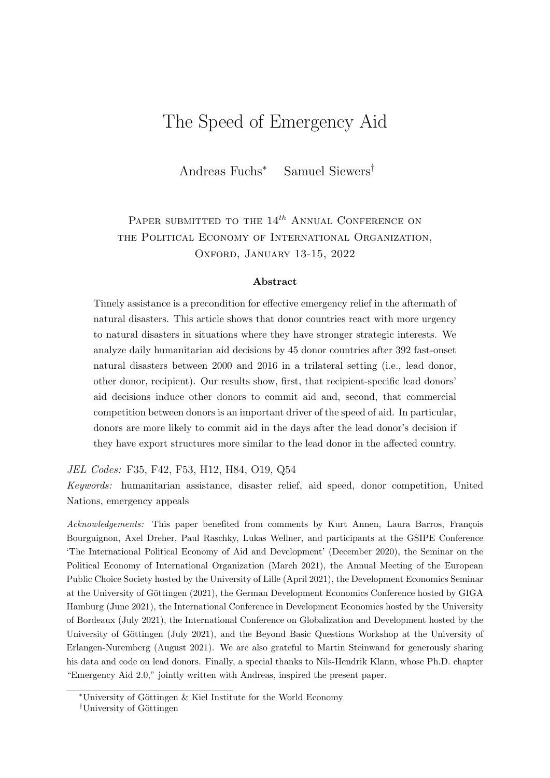# The Speed of Emergency Aid

Andreas Fuchs<sup>∗</sup> Samuel Siewers†

## PAPER SUBMITTED TO THE  $14^{th}$  ANNUAL CONFERENCE ON the Political Economy of International Organization, OXFORD, JANUARY 13-15, 2022

#### Abstract

Timely assistance is a precondition for effective emergency relief in the aftermath of natural disasters. This article shows that donor countries react with more urgency to natural disasters in situations where they have stronger strategic interests. We analyze daily humanitarian aid decisions by 45 donor countries after 392 fast-onset natural disasters between 2000 and 2016 in a trilateral setting (i.e., lead donor, other donor, recipient). Our results show, first, that recipient-specific lead donors' aid decisions induce other donors to commit aid and, second, that commercial competition between donors is an important driver of the speed of aid. In particular, donors are more likely to commit aid in the days after the lead donor's decision if they have export structures more similar to the lead donor in the affected country.

JEL Codes: F35, F42, F53, H12, H84, O19, Q54

Keywords: humanitarian assistance, disaster relief, aid speed, donor competition, United Nations, emergency appeals

Acknowledgements: This paper benefited from comments by Kurt Annen, Laura Barros, François Bourguignon, Axel Dreher, Paul Raschky, Lukas Wellner, and participants at the GSIPE Conference 'The International Political Economy of Aid and Development' (December 2020), the Seminar on the Political Economy of International Organization (March 2021), the Annual Meeting of the European Public Choice Society hosted by the University of Lille (April 2021), the Development Economics Seminar at the University of Göttingen (2021), the German Development Economics Conference hosted by GIGA Hamburg (June 2021), the International Conference in Development Economics hosted by the University of Bordeaux (July 2021), the International Conference on Globalization and Development hosted by the University of Göttingen (July 2021), and the Beyond Basic Questions Workshop at the University of Erlangen-Nuremberg (August 2021). We are also grateful to Martin Steinwand for generously sharing his data and code on lead donors. Finally, a special thanks to Nils-Hendrik Klann, whose Ph.D. chapter "Emergency Aid 2.0," jointly written with Andreas, inspired the present paper.

<sup>∗</sup>University of G¨ottingen & Kiel Institute for the World Economy

<sup>&</sup>lt;sup>†</sup>University of Göttingen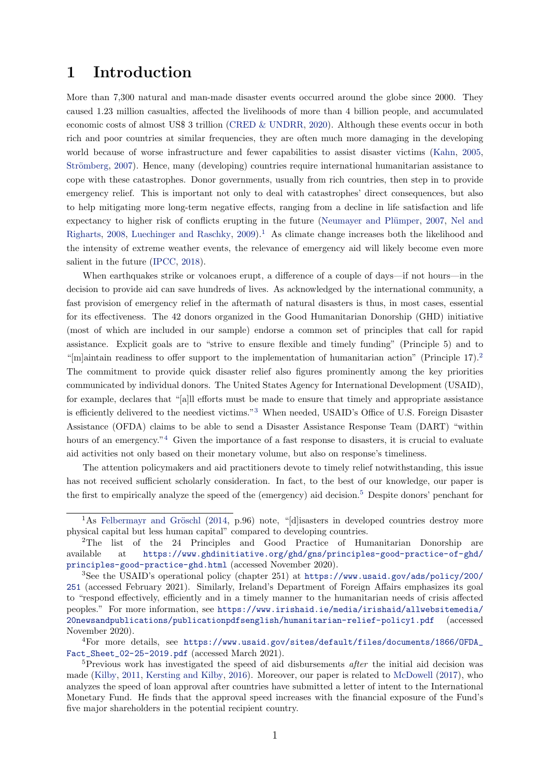### 1 Introduction

More than 7,300 natural and man-made disaster events occurred around the globe since 2000. They caused 1.23 million casualties, affected the livelihoods of more than 4 billion people, and accumulated economic costs of almost US\$ 3 trillion [\(CRED & UNDRR,](#page-20-0) [2020\)](#page-20-0). Although these events occur in both rich and poor countries at similar frequencies, they are often much more damaging in the developing world because of worse infrastructure and fewer capabilities to assist disaster victims [\(Kahn,](#page-22-0) [2005,](#page-22-0) Strömberg, [2007\)](#page-23-0). Hence, many (developing) countries require international humanitarian assistance to cope with these catastrophes. Donor governments, usually from rich countries, then step in to provide emergency relief. This is important not only to deal with catastrophes' direct consequences, but also to help mitigating more long-term negative effects, ranging from a decline in life satisfaction and life expectancy to higher risk of conflicts erupting in the future (Neumayer and Plümper, [2007,](#page-22-1) [Nel and](#page-22-2) [Righarts,](#page-22-2) [2008,](#page-22-2) [Luechinger and Raschky,](#page-22-3)  $2009$ ).<sup>[1](#page-1-0)</sup> As climate change increases both the likelihood and the intensity of extreme weather events, the relevance of emergency aid will likely become even more salient in the future [\(IPCC,](#page-21-0) [2018\)](#page-21-0).

When earthquakes strike or volcanoes erupt, a difference of a couple of days—if not hours—in the decision to provide aid can save hundreds of lives. As acknowledged by the international community, a fast provision of emergency relief in the aftermath of natural disasters is thus, in most cases, essential for its effectiveness. The 42 donors organized in the Good Humanitarian Donorship (GHD) initiative (most of which are included in our sample) endorse a common set of principles that call for rapid assistance. Explicit goals are to "strive to ensure flexible and timely funding" (Principle 5) and to "[m]aintain readiness to offer support to the implementation of humanitarian action" (Principle 17).<sup>[2](#page-1-1)</sup> The commitment to provide quick disaster relief also figures prominently among the key priorities communicated by individual donors. The United States Agency for International Development (USAID), for example, declares that "[a]ll efforts must be made to ensure that timely and appropriate assistance is efficiently delivered to the neediest victims."[3](#page-1-2) When needed, USAID's Office of U.S. Foreign Disaster Assistance (OFDA) claims to be able to send a Disaster Assistance Response Team (DART) "within hours of an emergency."<sup>[4](#page-1-3)</sup> Given the importance of a fast response to disasters, it is crucial to evaluate aid activities not only based on their monetary volume, but also on response's timeliness.

The attention policymakers and aid practitioners devote to timely relief notwithstanding, this issue has not received sufficient scholarly consideration. In fact, to the best of our knowledge, our paper is the first to empirically analyze the speed of the (emergency) aid decision.<sup>[5](#page-1-4)</sup> Despite donors' penchant for

<span id="page-1-0"></span><sup>&</sup>lt;sup>1</sup>As Felbermayr and Gröschl [\(2014,](#page-21-1) p.96) note, "[d] isasters in developed countries destroy more physical capital but less human capital" compared to developing countries.

<span id="page-1-1"></span><sup>2</sup>The list of the 24 Principles and Good Practice of Humanitarian Donorship are available at [https://www.ghdinitiative.org/ghd/gns/principles-good-practice-of-ghd/](https://www.ghdinitiative.org/ghd/gns/principles-good-practice-of-ghd/principles-good-practice-ghd.html) [principles-good-practice-ghd.html](https://www.ghdinitiative.org/ghd/gns/principles-good-practice-of-ghd/principles-good-practice-ghd.html) (accessed November 2020).

<span id="page-1-2"></span><sup>3</sup>See the USAID's operational policy (chapter 251) at [https://www.usaid.gov/ads/policy/200/](https://www.usaid.gov/ads/policy/200/251) [251](https://www.usaid.gov/ads/policy/200/251) (accessed February 2021). Similarly, Ireland's Department of Foreign Affairs emphasizes its goal to "respond effectively, efficiently and in a timely manner to the humanitarian needs of crisis affected peoples." For more information, see [https://www.irishaid.ie/media/irishaid/allwebsitemedia/](https://www.irishaid.ie/media/irishaid/allwebsitemedia/20newsandpublications/publicationpdfsenglish/humanitarian-relief-policy1.pdf) [20newsandpublications/publicationpdfsenglish/humanitarian-relief-policy1.pdf](https://www.irishaid.ie/media/irishaid/allwebsitemedia/20newsandpublications/publicationpdfsenglish/humanitarian-relief-policy1.pdf) (accessed November 2020).

<span id="page-1-3"></span><sup>4</sup>For more details, see [https://www.usaid.gov/sites/default/files/documents/1866/OFDA\\_](https://www.usaid.gov/sites/default/files/documents/1866/OFDA_Fact_Sheet_02-25-2019.pdf) [Fact\\_Sheet\\_02-25-2019.pdf](https://www.usaid.gov/sites/default/files/documents/1866/OFDA_Fact_Sheet_02-25-2019.pdf) (accessed March 2021).

<span id="page-1-4"></span><sup>&</sup>lt;sup>5</sup>Previous work has investigated the speed of aid disbursements *after* the initial aid decision was made [\(Kilby,](#page-22-4) [2011,](#page-22-4) [Kersting and Kilby,](#page-22-5) [2016\)](#page-22-5). Moreover, our paper is related to [McDowell](#page-22-6) [\(2017\)](#page-22-6), who analyzes the speed of loan approval after countries have submitted a letter of intent to the International Monetary Fund. He finds that the approval speed increases with the financial exposure of the Fund's five major shareholders in the potential recipient country.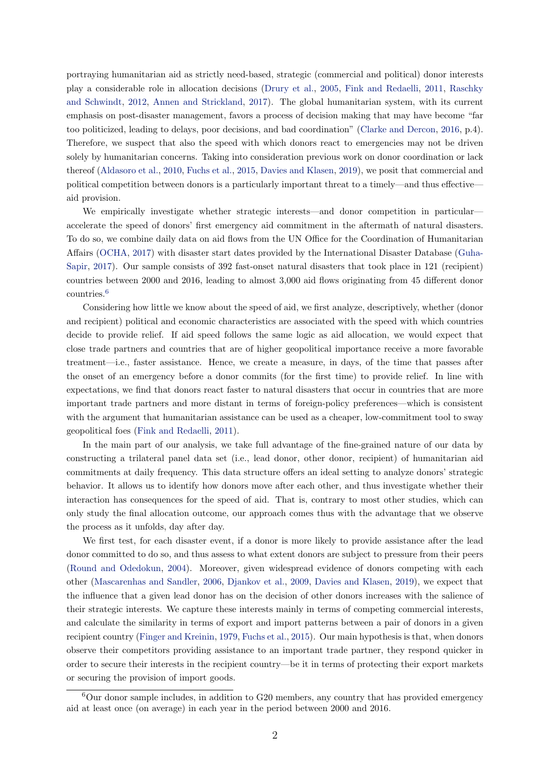portraying humanitarian aid as strictly need-based, strategic (commercial and political) donor interests play a considerable role in allocation decisions [\(Drury et al.,](#page-21-2) [2005,](#page-21-2) [Fink and Redaelli,](#page-21-3) [2011,](#page-21-3) [Raschky](#page-23-1) [and Schwindt,](#page-23-1) [2012,](#page-23-1) [Annen and Strickland,](#page-20-1) [2017\)](#page-20-1). The global humanitarian system, with its current emphasis on post-disaster management, favors a process of decision making that may have become "far too politicized, leading to delays, poor decisions, and bad coordination" [\(Clarke and Dercon,](#page-20-2) [2016,](#page-20-2) p.4). Therefore, we suspect that also the speed with which donors react to emergencies may not be driven solely by humanitarian concerns. Taking into consideration previous work on donor coordination or lack thereof [\(Aldasoro et al.,](#page-20-3) [2010,](#page-20-3) [Fuchs et al.,](#page-21-4) [2015,](#page-21-4) [Davies and Klasen,](#page-20-4) [2019\)](#page-20-4), we posit that commercial and political competition between donors is a particularly important threat to a timely—and thus effective aid provision.

We empirically investigate whether strategic interests—and donor competition in particular accelerate the speed of donors' first emergency aid commitment in the aftermath of natural disasters. To do so, we combine daily data on aid flows from the UN Office for the Coordination of Humanitarian Affairs [\(OCHA,](#page-22-7) [2017\)](#page-22-7) with disaster start dates provided by the International Disaster Database [\(Guha-](#page-21-5)[Sapir,](#page-21-5) [2017\)](#page-21-5). Our sample consists of 392 fast-onset natural disasters that took place in 121 (recipient) countries between 2000 and 2016, leading to almost 3,000 aid flows originating from 45 different donor countries.[6](#page-2-0)

Considering how little we know about the speed of aid, we first analyze, descriptively, whether (donor and recipient) political and economic characteristics are associated with the speed with which countries decide to provide relief. If aid speed follows the same logic as aid allocation, we would expect that close trade partners and countries that are of higher geopolitical importance receive a more favorable treatment—i.e., faster assistance. Hence, we create a measure, in days, of the time that passes after the onset of an emergency before a donor commits (for the first time) to provide relief. In line with expectations, we find that donors react faster to natural disasters that occur in countries that are more important trade partners and more distant in terms of foreign-policy preferences—which is consistent with the argument that humanitarian assistance can be used as a cheaper, low-commitment tool to sway geopolitical foes [\(Fink and Redaelli,](#page-21-3) [2011\)](#page-21-3).

In the main part of our analysis, we take full advantage of the fine-grained nature of our data by constructing a trilateral panel data set (i.e., lead donor, other donor, recipient) of humanitarian aid commitments at daily frequency. This data structure offers an ideal setting to analyze donors' strategic behavior. It allows us to identify how donors move after each other, and thus investigate whether their interaction has consequences for the speed of aid. That is, contrary to most other studies, which can only study the final allocation outcome, our approach comes thus with the advantage that we observe the process as it unfolds, day after day.

We first test, for each disaster event, if a donor is more likely to provide assistance after the lead donor committed to do so, and thus assess to what extent donors are subject to pressure from their peers [\(Round and Odedokun,](#page-23-2) [2004\)](#page-23-2). Moreover, given widespread evidence of donors competing with each other [\(Mascarenhas and Sandler,](#page-22-8) [2006,](#page-22-8) [Djankov et al.,](#page-20-5) [2009,](#page-20-5) [Davies and Klasen,](#page-20-4) [2019\)](#page-20-4), we expect that the influence that a given lead donor has on the decision of other donors increases with the salience of their strategic interests. We capture these interests mainly in terms of competing commercial interests, and calculate the similarity in terms of export and import patterns between a pair of donors in a given recipient country [\(Finger and Kreinin,](#page-21-6) [1979,](#page-21-6) [Fuchs et al.,](#page-21-4) [2015\)](#page-21-4). Our main hypothesis is that, when donors observe their competitors providing assistance to an important trade partner, they respond quicker in order to secure their interests in the recipient country—be it in terms of protecting their export markets or securing the provision of import goods.

<span id="page-2-0"></span> $6$ Our donor sample includes, in addition to G20 members, any country that has provided emergency aid at least once (on average) in each year in the period between 2000 and 2016.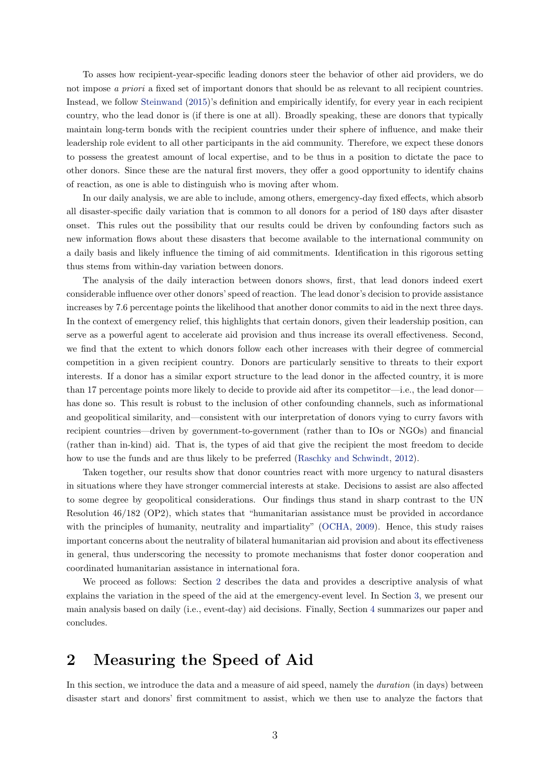To asses how recipient-year-specific leading donors steer the behavior of other aid providers, we do not impose a priori a fixed set of important donors that should be as relevant to all recipient countries. Instead, we follow [Steinwand](#page-23-3) [\(2015\)](#page-23-3)'s definition and empirically identify, for every year in each recipient country, who the lead donor is (if there is one at all). Broadly speaking, these are donors that typically maintain long-term bonds with the recipient countries under their sphere of influence, and make their leadership role evident to all other participants in the aid community. Therefore, we expect these donors to possess the greatest amount of local expertise, and to be thus in a position to dictate the pace to other donors. Since these are the natural first movers, they offer a good opportunity to identify chains of reaction, as one is able to distinguish who is moving after whom.

In our daily analysis, we are able to include, among others, emergency-day fixed effects, which absorb all disaster-specific daily variation that is common to all donors for a period of 180 days after disaster onset. This rules out the possibility that our results could be driven by confounding factors such as new information flows about these disasters that become available to the international community on a daily basis and likely influence the timing of aid commitments. Identification in this rigorous setting thus stems from within-day variation between donors.

The analysis of the daily interaction between donors shows, first, that lead donors indeed exert considerable influence over other donors' speed of reaction. The lead donor's decision to provide assistance increases by 7.6 percentage points the likelihood that another donor commits to aid in the next three days. In the context of emergency relief, this highlights that certain donors, given their leadership position, can serve as a powerful agent to accelerate aid provision and thus increase its overall effectiveness. Second, we find that the extent to which donors follow each other increases with their degree of commercial competition in a given recipient country. Donors are particularly sensitive to threats to their export interests. If a donor has a similar export structure to the lead donor in the affected country, it is more than 17 percentage points more likely to decide to provide aid after its competitor—i.e., the lead donor has done so. This result is robust to the inclusion of other confounding channels, such as informational and geopolitical similarity, and—consistent with our interpretation of donors vying to curry favors with recipient countries—driven by government-to-government (rather than to IOs or NGOs) and financial (rather than in-kind) aid. That is, the types of aid that give the recipient the most freedom to decide how to use the funds and are thus likely to be preferred [\(Raschky and Schwindt,](#page-23-1) [2012\)](#page-23-1).

Taken together, our results show that donor countries react with more urgency to natural disasters in situations where they have stronger commercial interests at stake. Decisions to assist are also affected to some degree by geopolitical considerations. Our findings thus stand in sharp contrast to the UN Resolution 46/182 (OP2), which states that "humanitarian assistance must be provided in accordance with the principles of humanity, neutrality and impartiality" [\(OCHA,](#page-22-9) [2009\)](#page-22-9). Hence, this study raises important concerns about the neutrality of bilateral humanitarian aid provision and about its effectiveness in general, thus underscoring the necessity to promote mechanisms that foster donor cooperation and coordinated humanitarian assistance in international fora.

We proceed as follows: Section [2](#page-3-0) describes the data and provides a descriptive analysis of what explains the variation in the speed of the aid at the emergency-event level. In Section [3,](#page-9-0) we present our main analysis based on daily (i.e., event-day) aid decisions. Finally, Section [4](#page-18-0) summarizes our paper and concludes.

### <span id="page-3-0"></span>2 Measuring the Speed of Aid

In this section, we introduce the data and a measure of aid speed, namely the *duration* (in days) between disaster start and donors' first commitment to assist, which we then use to analyze the factors that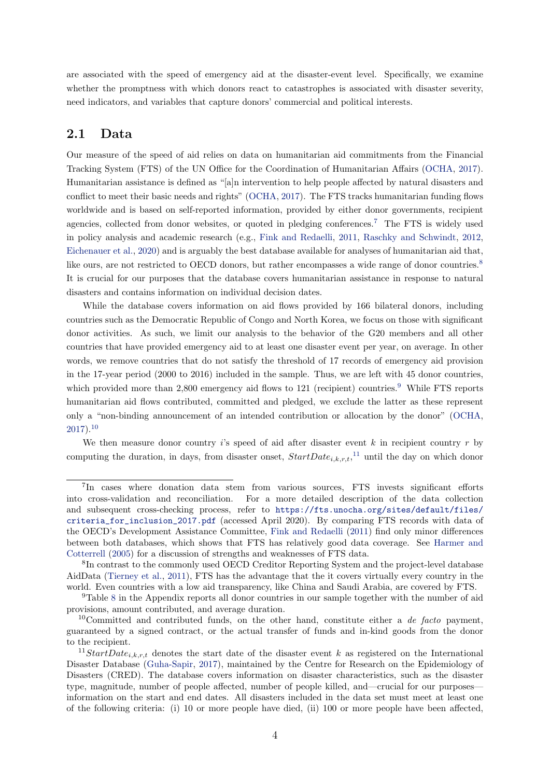are associated with the speed of emergency aid at the disaster-event level. Specifically, we examine whether the promptness with which donors react to catastrophes is associated with disaster severity, need indicators, and variables that capture donors' commercial and political interests.

### 2.1 Data

Our measure of the speed of aid relies on data on humanitarian aid commitments from the Financial Tracking System (FTS) of the UN Office for the Coordination of Humanitarian Affairs [\(OCHA,](#page-22-7) [2017\)](#page-22-7). Humanitarian assistance is defined as "[a]n intervention to help people affected by natural disasters and conflict to meet their basic needs and rights" [\(OCHA,](#page-22-7) [2017\)](#page-22-7). The FTS tracks humanitarian funding flows worldwide and is based on self-reported information, provided by either donor governments, recipient agencies, collected from donor websites, or quoted in pledging conferences.[7](#page-4-0) The FTS is widely used in policy analysis and academic research (e.g., [Fink and Redaelli,](#page-21-3) [2011,](#page-21-3) [Raschky and Schwindt,](#page-23-1) [2012,](#page-23-1) [Eichenauer et al.,](#page-21-7) [2020\)](#page-21-7) and is arguably the best database available for analyses of humanitarian aid that, like ours, are not restricted to OECD donors, but rather encompasses a wide range of donor countries.<sup>[8](#page-4-1)</sup> It is crucial for our purposes that the database covers humanitarian assistance in response to natural disasters and contains information on individual decision dates.

While the database covers information on aid flows provided by 166 bilateral donors, including countries such as the Democratic Republic of Congo and North Korea, we focus on those with significant donor activities. As such, we limit our analysis to the behavior of the G20 members and all other countries that have provided emergency aid to at least one disaster event per year, on average. In other words, we remove countries that do not satisfy the threshold of 17 records of emergency aid provision in the 17-year period (2000 to 2016) included in the sample. Thus, we are left with 45 donor countries, which provided more than  $2,800$  emergency aid flows to 121 (recipient) countries.<sup>[9](#page-4-2)</sup> While FTS reports humanitarian aid flows contributed, committed and pledged, we exclude the latter as these represent only a "non-binding announcement of an intended contribution or allocation by the donor" [\(OCHA,](#page-22-7)  $2017$ ).<sup>[10](#page-4-3)</sup>

We then measure donor country is speed of aid after disaster event  $k$  in recipient country  $r$  by computing the duration, in days, from disaster onset,  $StartDate_{i,k,r,t}$ ,<sup>[11](#page-4-4)</sup> until the day on which donor

<span id="page-4-0"></span><sup>&</sup>lt;sup>7</sup>In cases where donation data stem from various sources, FTS invests significant efforts into cross-validation and reconciliation. For a more detailed description of the data collection and subsequent cross-checking process, refer to [https://fts.unocha.org/sites/default/files/](https://fts.unocha.org/sites/default/files/criteria_for_inclusion_2017.pdf) [criteria\\_for\\_inclusion\\_2017.pdf](https://fts.unocha.org/sites/default/files/criteria_for_inclusion_2017.pdf) (accessed April 2020). By comparing FTS records with data of the OECD's Development Assistance Committee, [Fink and Redaelli](#page-21-3) [\(2011\)](#page-21-3) find only minor differences between both databases, which shows that FTS has relatively good data coverage. See [Harmer and](#page-21-8) [Cotterrell](#page-21-8) [\(2005\)](#page-21-8) for a discussion of strengths and weaknesses of FTS data.

<span id="page-4-1"></span><sup>&</sup>lt;sup>8</sup>In contrast to the commonly used OECD Creditor Reporting System and the project-level database AidData [\(Tierney et al.,](#page-23-4) [2011\)](#page-23-4), FTS has the advantage that the it covers virtually every country in the world. Even countries with a low aid transparency, like China and Saudi Arabia, are covered by FTS.

<span id="page-4-2"></span><sup>9</sup>Table [8](#page-28-0) in the Appendix reports all donor countries in our sample together with the number of aid provisions, amount contributed, and average duration.

<span id="page-4-3"></span><sup>&</sup>lt;sup>10</sup>Committed and contributed funds, on the other hand, constitute either a *de facto* payment, guaranteed by a signed contract, or the actual transfer of funds and in-kind goods from the donor to the recipient.

<span id="page-4-4"></span><sup>&</sup>lt;sup>11</sup>StartDate<sub>i,k,r,t</sub> denotes the start date of the disaster event k as registered on the International Disaster Database [\(Guha-Sapir,](#page-21-5) [2017\)](#page-21-5), maintained by the Centre for Research on the Epidemiology of Disasters (CRED). The database covers information on disaster characteristics, such as the disaster type, magnitude, number of people affected, number of people killed, and—crucial for our purposes information on the start and end dates. All disasters included in the data set must meet at least one of the following criteria: (i) 10 or more people have died, (ii) 100 or more people have been affected,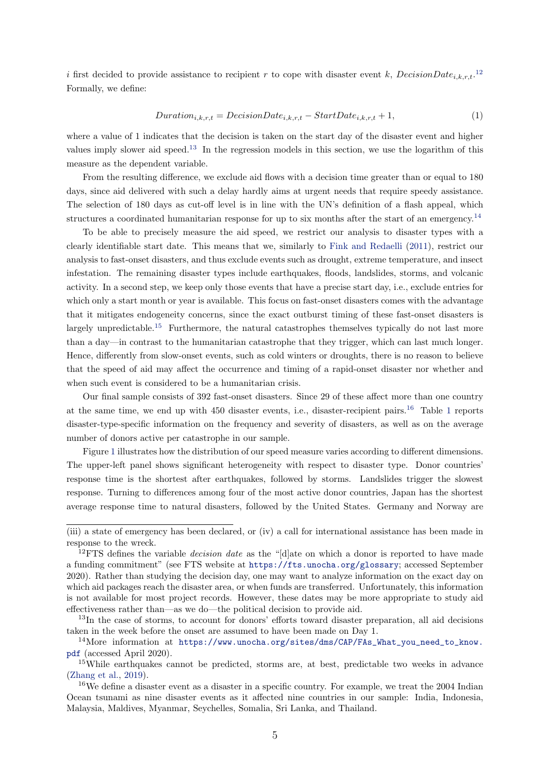i first decided to provide assistance to recipient r to cope with disaster event k,  $DecisionDate_{i,k,r,t}$ .<sup>[12](#page-5-0)</sup> Formally, we define:

$$
Duration_{i,k,r,t} = DecisionDate_{i,k,r,t} - StartDate_{i,k,r,t} + 1,
$$
\n<sup>(1)</sup>

where a value of 1 indicates that the decision is taken on the start day of the disaster event and higher values imply slower aid speed.[13](#page-5-1) In the regression models in this section, we use the logarithm of this measure as the dependent variable.

From the resulting difference, we exclude aid flows with a decision time greater than or equal to 180 days, since aid delivered with such a delay hardly aims at urgent needs that require speedy assistance. The selection of 180 days as cut-off level is in line with the UN's definition of a flash appeal, which structures a coordinated humanitarian response for up to six months after the start of an emergency.<sup>[14](#page-5-2)</sup>

To be able to precisely measure the aid speed, we restrict our analysis to disaster types with a clearly identifiable start date. This means that we, similarly to [Fink and Redaelli](#page-21-3) [\(2011\)](#page-21-3), restrict our analysis to fast-onset disasters, and thus exclude events such as drought, extreme temperature, and insect infestation. The remaining disaster types include earthquakes, floods, landslides, storms, and volcanic activity. In a second step, we keep only those events that have a precise start day, i.e., exclude entries for which only a start month or year is available. This focus on fast-onset disasters comes with the advantage that it mitigates endogeneity concerns, since the exact outburst timing of these fast-onset disasters is largely unpredictable.<sup>[15](#page-5-3)</sup> Furthermore, the natural catastrophes themselves typically do not last more than a day—in contrast to the humanitarian catastrophe that they trigger, which can last much longer. Hence, differently from slow-onset events, such as cold winters or droughts, there is no reason to believe that the speed of aid may affect the occurrence and timing of a rapid-onset disaster nor whether and when such event is considered to be a humanitarian crisis.

Our final sample consists of 392 fast-onset disasters. Since 29 of these affect more than one country at the same time, we end up with 450 disaster events, i.e., disaster-recipient pairs.[16](#page-5-4) Table [1](#page-6-0) reports disaster-type-specific information on the frequency and severity of disasters, as well as on the average number of donors active per catastrophe in our sample.

Figure [1](#page-6-1) illustrates how the distribution of our speed measure varies according to different dimensions. The upper-left panel shows significant heterogeneity with respect to disaster type. Donor countries' response time is the shortest after earthquakes, followed by storms. Landslides trigger the slowest response. Turning to differences among four of the most active donor countries, Japan has the shortest average response time to natural disasters, followed by the United States. Germany and Norway are

<sup>(</sup>iii) a state of emergency has been declared, or (iv) a call for international assistance has been made in response to the wreck.

<span id="page-5-0"></span><sup>&</sup>lt;sup>12</sup> FTS defines the variable *decision date* as the "[d]ate on which a donor is reported to have made a funding commitment" (see FTS website at <https://fts.unocha.org/glossary>; accessed September 2020). Rather than studying the decision day, one may want to analyze information on the exact day on which aid packages reach the disaster area, or when funds are transferred. Unfortunately, this information is not available for most project records. However, these dates may be more appropriate to study aid effectiveness rather than—as we do—the political decision to provide aid.

<span id="page-5-1"></span><sup>&</sup>lt;sup>13</sup>In the case of storms, to account for donors' efforts toward disaster preparation, all aid decisions taken in the week before the onset are assumed to have been made on Day 1.

<span id="page-5-2"></span><sup>14</sup>More information at [https://www.unocha.org/sites/dms/CAP/FAs\\_What\\_you\\_need\\_to\\_know.](https://www.unocha.org/sites/dms/CAP/FAs_What_you_need_to_know.pdf) [pdf](https://www.unocha.org/sites/dms/CAP/FAs_What_you_need_to_know.pdf) (accessed April 2020).

<span id="page-5-3"></span><sup>15</sup>While earthquakes cannot be predicted, storms are, at best, predictable two weeks in advance [\(Zhang et al.,](#page-23-5) [2019\)](#page-23-5).

<span id="page-5-4"></span><sup>&</sup>lt;sup>16</sup>We define a disaster event as a disaster in a specific country. For example, we treat the 2004 Indian Ocean tsunami as nine disaster events as it affected nine countries in our sample: India, Indonesia, Malaysia, Maldives, Myanmar, Seychelles, Somalia, Sri Lanka, and Thailand.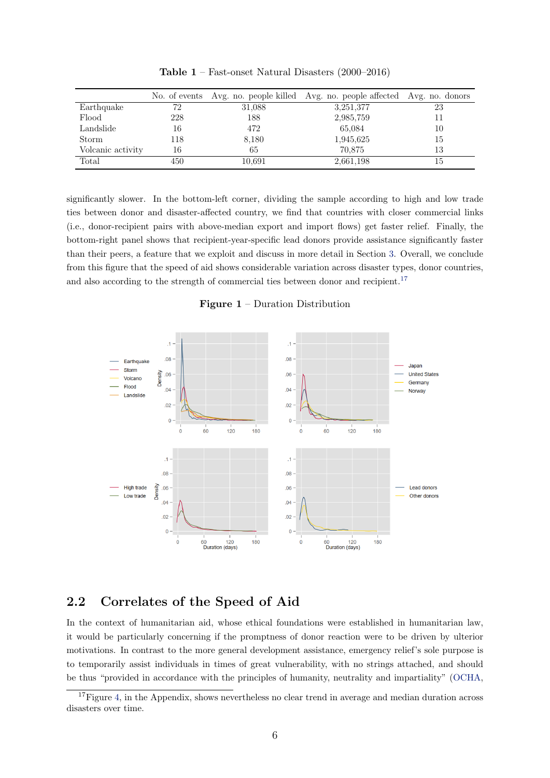<span id="page-6-0"></span>

|                   |     |        | No. of events Avg. no. people killed Avg. no. people affected Avg. no. donors |    |
|-------------------|-----|--------|-------------------------------------------------------------------------------|----|
| Earthquake        | 72  | 31,088 | 3,251,377                                                                     | 23 |
| Flood             | 228 | 188    | 2,985,759                                                                     | 11 |
| Landslide         | 16  | 472    | 65,084                                                                        | 10 |
| Storm             | 118 | 8,180  | 1,945,625                                                                     | 15 |
| Volcanic activity | 16  | 65     | 70.875                                                                        | 13 |
| Total             | 450 | 10.691 | 2,661,198                                                                     | 15 |

Table 1 – Fast-onset Natural Disasters (2000–2016)

significantly slower. In the bottom-left corner, dividing the sample according to high and low trade ties between donor and disaster-affected country, we find that countries with closer commercial links (i.e., donor-recipient pairs with above-median export and import flows) get faster relief. Finally, the bottom-right panel shows that recipient-year-specific lead donors provide assistance significantly faster than their peers, a feature that we exploit and discuss in more detail in Section [3.](#page-9-0) Overall, we conclude from this figure that the speed of aid shows considerable variation across disaster types, donor countries, and also according to the strength of commercial ties between donor and recipient.<sup>[17](#page-6-2)</sup>

Figure 1 – Duration Distribution

<span id="page-6-1"></span>

### 2.2 Correlates of the Speed of Aid

In the context of humanitarian aid, whose ethical foundations were established in humanitarian law, it would be particularly concerning if the promptness of donor reaction were to be driven by ulterior motivations. In contrast to the more general development assistance, emergency relief's sole purpose is to temporarily assist individuals in times of great vulnerability, with no strings attached, and should be thus "provided in accordance with the principles of humanity, neutrality and impartiality" [\(OCHA,](#page-22-9)

<span id="page-6-2"></span> $17$ Figure [4,](#page-27-0) in the Appendix, shows nevertheless no clear trend in average and median duration across disasters over time.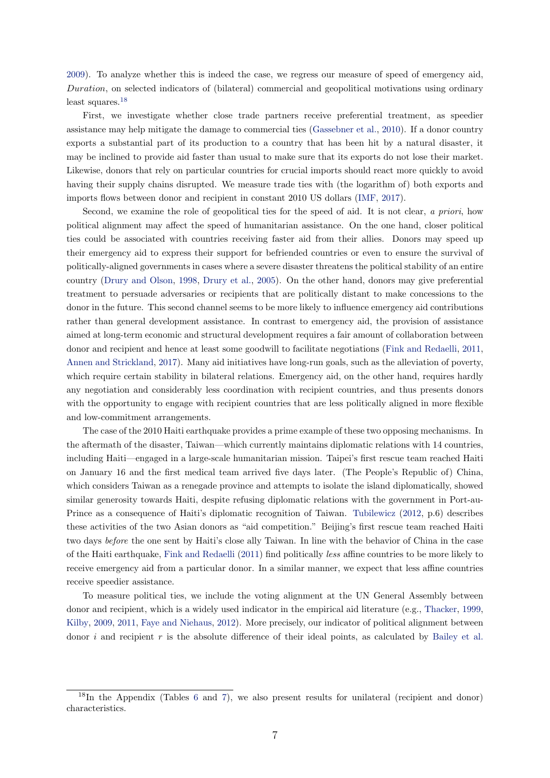[2009\)](#page-22-9). To analyze whether this is indeed the case, we regress our measure of speed of emergency aid, Duration, on selected indicators of (bilateral) commercial and geopolitical motivations using ordinary least squares.[18](#page-7-0)

First, we investigate whether close trade partners receive preferential treatment, as speedier assistance may help mitigate the damage to commercial ties [\(Gassebner et al.,](#page-21-9) [2010\)](#page-21-9). If a donor country exports a substantial part of its production to a country that has been hit by a natural disaster, it may be inclined to provide aid faster than usual to make sure that its exports do not lose their market. Likewise, donors that rely on particular countries for crucial imports should react more quickly to avoid having their supply chains disrupted. We measure trade ties with (the logarithm of) both exports and imports flows between donor and recipient in constant 2010 US dollars [\(IMF,](#page-21-10) [2017\)](#page-21-10).

Second, we examine the role of geopolitical ties for the speed of aid. It is not clear, a priori, how political alignment may affect the speed of humanitarian assistance. On the one hand, closer political ties could be associated with countries receiving faster aid from their allies. Donors may speed up their emergency aid to express their support for befriended countries or even to ensure the survival of politically-aligned governments in cases where a severe disaster threatens the political stability of an entire country [\(Drury and Olson,](#page-21-11) [1998,](#page-21-11) [Drury et al.,](#page-21-2) [2005\)](#page-21-2). On the other hand, donors may give preferential treatment to persuade adversaries or recipients that are politically distant to make concessions to the donor in the future. This second channel seems to be more likely to influence emergency aid contributions rather than general development assistance. In contrast to emergency aid, the provision of assistance aimed at long-term economic and structural development requires a fair amount of collaboration between donor and recipient and hence at least some goodwill to facilitate negotiations [\(Fink and Redaelli,](#page-21-3) [2011,](#page-21-3) [Annen and Strickland,](#page-20-1) [2017\)](#page-20-1). Many aid initiatives have long-run goals, such as the alleviation of poverty, which require certain stability in bilateral relations. Emergency aid, on the other hand, requires hardly any negotiation and considerably less coordination with recipient countries, and thus presents donors with the opportunity to engage with recipient countries that are less politically aligned in more flexible and low-commitment arrangements.

The case of the 2010 Haiti earthquake provides a prime example of these two opposing mechanisms. In the aftermath of the disaster, Taiwan—which currently maintains diplomatic relations with 14 countries, including Haiti—engaged in a large-scale humanitarian mission. Taipei's first rescue team reached Haiti on January 16 and the first medical team arrived five days later. (The People's Republic of) China, which considers Taiwan as a renegade province and attempts to isolate the island diplomatically, showed similar generosity towards Haiti, despite refusing diplomatic relations with the government in Port-au-Prince as a consequence of Haiti's diplomatic recognition of Taiwan. [Tubilewicz](#page-23-6) [\(2012,](#page-23-6) p.6) describes these activities of the two Asian donors as "aid competition." Beijing's first rescue team reached Haiti two days before the one sent by Haiti's close ally Taiwan. In line with the behavior of China in the case of the Haiti earthquake, [Fink and Redaelli](#page-21-3) [\(2011\)](#page-21-3) find politically less affine countries to be more likely to receive emergency aid from a particular donor. In a similar manner, we expect that less affine countries receive speedier assistance.

To measure political ties, we include the voting alignment at the UN General Assembly between donor and recipient, which is a widely used indicator in the empirical aid literature (e.g., [Thacker,](#page-23-7) [1999,](#page-23-7) [Kilby,](#page-22-10) [2009,](#page-22-10) [2011,](#page-22-4) [Faye and Niehaus,](#page-21-12) [2012\)](#page-21-12). More precisely, our indicator of political alignment between donor i and recipient r is the absolute difference of their ideal points, as calculated by [Bailey et al.](#page-20-6)

<span id="page-7-0"></span> $18$ In the Appendix (Tables [6](#page-26-0) and [7\)](#page-27-1), we also present results for unilateral (recipient and donor) characteristics.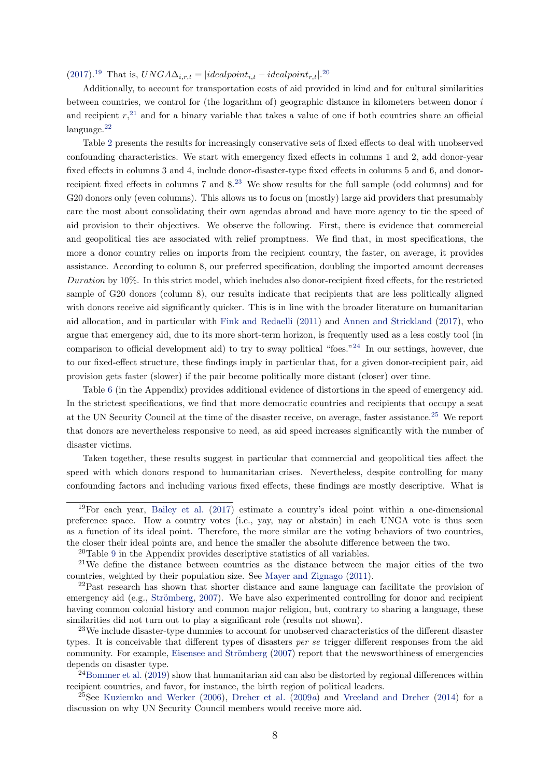$(2017).^{19}$  $(2017).^{19}$  $(2017).^{19}$  $(2017).^{19}$  That is,  $UNG A \Delta_{i,r,t} = | ideal point_{i,t} - ideal point_{r,t}|^{20}$  $UNG A \Delta_{i,r,t} = | ideal point_{i,t} - ideal point_{r,t}|^{20}$  $UNG A \Delta_{i,r,t} = | ideal point_{i,t} - ideal point_{r,t}|^{20}$ 

Additionally, to account for transportation costs of aid provided in kind and for cultural similarities between countries, we control for (the logarithm of) geographic distance in kilometers between donor i and recipient  $r<sub>1</sub><sup>21</sup>$  $r<sub>1</sub><sup>21</sup>$  $r<sub>1</sub><sup>21</sup>$  and for a binary variable that takes a value of one if both countries share an official language.[22](#page-8-3)

Table [2](#page-9-1) presents the results for increasingly conservative sets of fixed effects to deal with unobserved confounding characteristics. We start with emergency fixed effects in columns 1 and 2, add donor-year fixed effects in columns 3 and 4, include donor-disaster-type fixed effects in columns 5 and 6, and donorrecipient fixed effects in columns 7 and 8.[23](#page-8-4) We show results for the full sample (odd columns) and for G20 donors only (even columns). This allows us to focus on (mostly) large aid providers that presumably care the most about consolidating their own agendas abroad and have more agency to tie the speed of aid provision to their objectives. We observe the following. First, there is evidence that commercial and geopolitical ties are associated with relief promptness. We find that, in most specifications, the more a donor country relies on imports from the recipient country, the faster, on average, it provides assistance. According to column 8, our preferred specification, doubling the imported amount decreases Duration by 10%. In this strict model, which includes also donor-recipient fixed effects, for the restricted sample of G20 donors (column 8), our results indicate that recipients that are less politically aligned with donors receive aid significantly quicker. This is in line with the broader literature on humanitarian aid allocation, and in particular with [Fink and Redaelli](#page-21-3) [\(2011\)](#page-21-3) and [Annen and Strickland](#page-20-1) [\(2017\)](#page-20-1), who argue that emergency aid, due to its more short-term horizon, is frequently used as a less costly tool (in comparison to official development aid) to try to sway political "foes."[24](#page-8-5) In our settings, however, due to our fixed-effect structure, these findings imply in particular that, for a given donor-recipient pair, aid provision gets faster (slower) if the pair become politically more distant (closer) over time.

Table [6](#page-26-0) (in the Appendix) provides additional evidence of distortions in the speed of emergency aid. In the strictest specifications, we find that more democratic countries and recipients that occupy a seat at the UN Security Council at the time of the disaster receive, on average, faster assistance.[25](#page-8-6) We report that donors are nevertheless responsive to need, as aid speed increases significantly with the number of disaster victims.

Taken together, these results suggest in particular that commercial and geopolitical ties affect the speed with which donors respond to humanitarian crises. Nevertheless, despite controlling for many confounding factors and including various fixed effects, these findings are mostly descriptive. What is

<span id="page-8-0"></span> $19$ For each year, [Bailey et al.](#page-20-6) [\(2017\)](#page-20-6) estimate a country's ideal point within a one-dimensional preference space. How a country votes (i.e., yay, nay or abstain) in each UNGA vote is thus seen as a function of its ideal point. Therefore, the more similar are the voting behaviors of two countries, the closer their ideal points are, and hence the smaller the absolute difference between the two.

<span id="page-8-2"></span><span id="page-8-1"></span><sup>20</sup>Table [9](#page-29-0) in the Appendix provides descriptive statistics of all variables.

 $21$ We define the distance between countries as the distance between the major cities of the two countries, weighted by their population size. See [Mayer and Zignago](#page-22-11) [\(2011\)](#page-22-11).

<span id="page-8-3"></span><sup>&</sup>lt;sup>22</sup>Past research has shown that shorter distance and same language can facilitate the provision of emergency aid (e.g., Strömberg, [2007\)](#page-23-0). We have also experimented controlling for donor and recipient having common colonial history and common major religion, but, contrary to sharing a language, these similarities did not turn out to play a significant role (results not shown).

<span id="page-8-4"></span><sup>23</sup>We include disaster-type dummies to account for unobserved characteristics of the different disaster types. It is conceivable that different types of disasters per se trigger different responses from the aid community. For example, Eisensee and Strömberg [\(2007\)](#page-21-13) report that the newsworthiness of emergencies depends on disaster type.

<span id="page-8-5"></span> $24$ [Bommer et al.](#page-20-7) [\(2019\)](#page-20-7) show that humanitarian aid can also be distorted by regional differences within recipient countries, and favor, for instance, the birth region of political leaders.

<span id="page-8-6"></span><sup>&</sup>lt;sup>25</sup>See [Kuziemko and Werker](#page-22-12) [\(2006\)](#page-22-12), [Dreher et al.](#page-20-8) [\(2009](#page-20-8)a) and [Vreeland and Dreher](#page-23-8) [\(2014\)](#page-23-8) for a discussion on why UN Security Council members would receive more aid.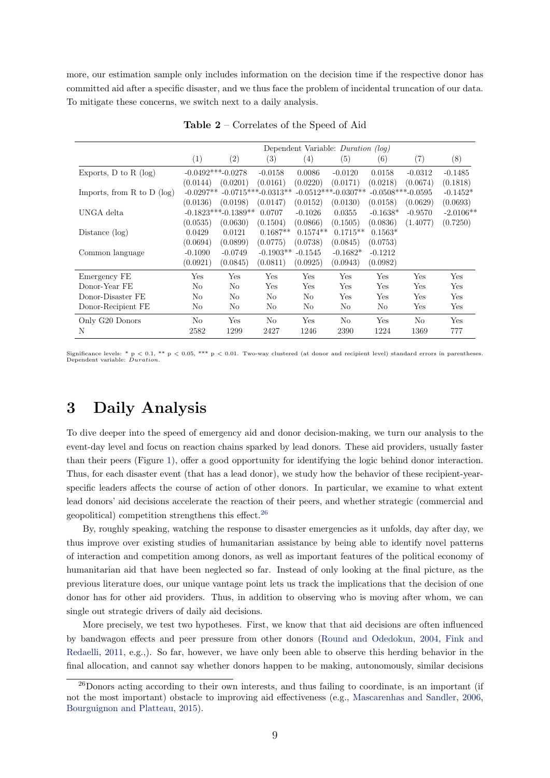more, our estimation sample only includes information on the decision time if the respective donor has committed aid after a specific disaster, and we thus face the problem of incidental truncation of our data. To mitigate these concerns, we switch next to a daily analysis.

<span id="page-9-1"></span>

|                                |             | Dependent Variable: <i>Duration</i> (log) |                       |            |                       |                     |                |             |  |
|--------------------------------|-------------|-------------------------------------------|-----------------------|------------|-----------------------|---------------------|----------------|-------------|--|
|                                | (1)         | (2)                                       | (3)                   | (4)        | (5)                   | (6)                 | (7)            | (8)         |  |
| Exports, $D$ to $R$ (log)      |             | $-0.0492***-0.0278$                       | $-0.0158$             | 0.0086     | $-0.0120$             | 0.0158              | $-0.0312$      | $-0.1485$   |  |
|                                | (0.0144)    | (0.0201)                                  | (0.0161)              | (0.0220)   | (0.0171)              | (0.0218)            | (0.0674)       | (0.1818)    |  |
| Imports, from $R$ to $D$ (log) | $-0.0297**$ |                                           | $-0.0715***-0.0313**$ |            | $-0.0512***-0.0307**$ | $-0.0508***-0.0595$ |                | $-0.1452*$  |  |
|                                | (0.0136)    | (0.0198)                                  | (0.0147)              | (0.0152)   | (0.0130)              | (0.0158)            | (0.0629)       | (0.0693)    |  |
| UNGA delta                     |             | $-0.1823***-0.1389**$                     | 0.0707                | $-0.1026$  | 0.0355                | $-0.1638*$          | $-0.9570$      | $-2.0106**$ |  |
|                                | (0.0535)    | (0.0630)                                  | (0.1504)              | (0.0866)   | (0.1505)              | (0.0836)            | (1.4077)       | (0.7250)    |  |
| Distance $(\log)$              | 0.0429      | 0.0121                                    | $0.1687**$            | $0.1574**$ | $0.1715**$            | $0.1563*$           |                |             |  |
|                                | (0.0694)    | (0.0899)                                  | (0.0775)              | (0.0738)   | (0.0845)              | (0.0753)            |                |             |  |
| Common language                | $-0.1090$   | $-0.0749$                                 | $-0.1903**$           | $-0.1545$  | $-0.1682*$            | $-0.1212$           |                |             |  |
|                                | (0.0921)    | (0.0845)                                  | (0.0811)              | (0.0925)   | (0.0943)              | (0.0982)            |                |             |  |
| Emergency FE                   | Yes         | Yes                                       | Yes                   | <b>Yes</b> | Yes                   | Yes                 | Yes            | Yes         |  |
| Donor-Year FE                  | No          | No                                        | Yes                   | Yes        | Yes                   | Yes                 | Yes            | Yes         |  |
| Donor-Disaster FE              | No          | No                                        | No                    | No         | Yes                   | Yes                 | Yes            | Yes         |  |
| Donor-Recipient FE             | No          | No                                        | No                    | No         | No                    | No                  | Yes            | Yes         |  |
| Only G20 Donors                | No          | Yes                                       | N <sub>o</sub>        | Yes        | N <sub>0</sub>        | Yes                 | N <sub>0</sub> | Yes         |  |
| N                              | 2582        | 1299                                      | 2427                  | 1246       | 2390                  | 1224                | 1369           | 777         |  |

Table 2 – Correlates of the Speed of Aid

Significance levels: \* p < 0.1, \*\* p < 0.05, \*\*\* p < 0.01. Two-way clustered (at donor and recipient level) standard errors in parentheses. Dependent variable: Duration.

### <span id="page-9-0"></span>3 Daily Analysis

To dive deeper into the speed of emergency aid and donor decision-making, we turn our analysis to the event-day level and focus on reaction chains sparked by lead donors. These aid providers, usually faster than their peers (Figure [1\)](#page-6-1), offer a good opportunity for identifying the logic behind donor interaction. Thus, for each disaster event (that has a lead donor), we study how the behavior of these recipient-yearspecific leaders affects the course of action of other donors. In particular, we examine to what extent lead donors' aid decisions accelerate the reaction of their peers, and whether strategic (commercial and geopolitical) competition strengthens this effect.[26](#page-9-2)

By, roughly speaking, watching the response to disaster emergencies as it unfolds, day after day, we thus improve over existing studies of humanitarian assistance by being able to identify novel patterns of interaction and competition among donors, as well as important features of the political economy of humanitarian aid that have been neglected so far. Instead of only looking at the final picture, as the previous literature does, our unique vantage point lets us track the implications that the decision of one donor has for other aid providers. Thus, in addition to observing who is moving after whom, we can single out strategic drivers of daily aid decisions.

More precisely, we test two hypotheses. First, we know that that aid decisions are often influenced by bandwagon effects and peer pressure from other donors [\(Round and Odedokun,](#page-23-2) [2004,](#page-23-2) [Fink and](#page-21-3) [Redaelli,](#page-21-3) [2011,](#page-21-3) e.g.,). So far, however, we have only been able to observe this herding behavior in the final allocation, and cannot say whether donors happen to be making, autonomously, similar decisions

<span id="page-9-2"></span> $^{26}$ Donors acting according to their own interests, and thus failing to coordinate, is an important (if not the most important) obstacle to improving aid effectiveness (e.g., [Mascarenhas and Sandler,](#page-22-8) [2006,](#page-22-8) [Bourguignon and Platteau,](#page-20-9) [2015\)](#page-20-9).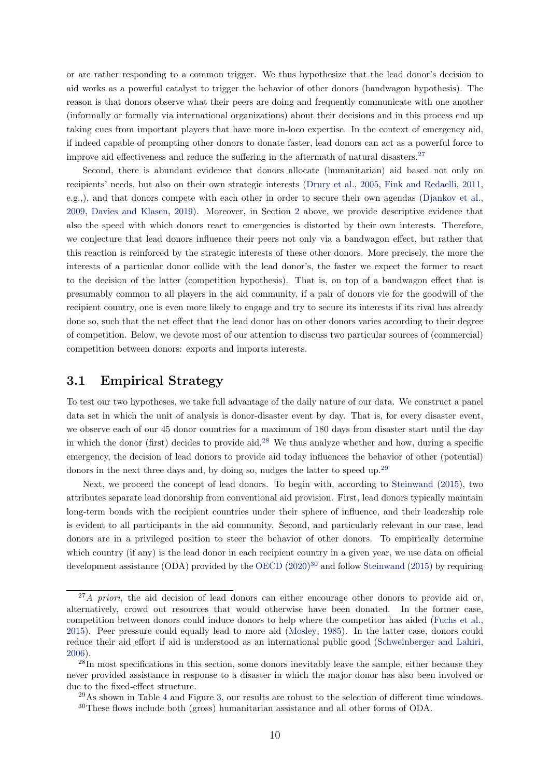or are rather responding to a common trigger. We thus hypothesize that the lead donor's decision to aid works as a powerful catalyst to trigger the behavior of other donors (bandwagon hypothesis). The reason is that donors observe what their peers are doing and frequently communicate with one another (informally or formally via international organizations) about their decisions and in this process end up taking cues from important players that have more in-loco expertise. In the context of emergency aid, if indeed capable of prompting other donors to donate faster, lead donors can act as a powerful force to improve aid effectiveness and reduce the suffering in the aftermath of natural disasters.<sup>[27](#page-10-0)</sup>

Second, there is abundant evidence that donors allocate (humanitarian) aid based not only on recipients' needs, but also on their own strategic interests [\(Drury et al.,](#page-21-2) [2005,](#page-21-2) [Fink and Redaelli,](#page-21-3) [2011,](#page-21-3) e.g.,), and that donors compete with each other in order to secure their own agendas [\(Djankov et al.,](#page-20-5) [2009,](#page-20-5) [Davies and Klasen,](#page-20-4) [2019\)](#page-20-4). Moreover, in Section [2](#page-3-0) above, we provide descriptive evidence that also the speed with which donors react to emergencies is distorted by their own interests. Therefore, we conjecture that lead donors influence their peers not only via a bandwagon effect, but rather that this reaction is reinforced by the strategic interests of these other donors. More precisely, the more the interests of a particular donor collide with the lead donor's, the faster we expect the former to react to the decision of the latter (competition hypothesis). That is, on top of a bandwagon effect that is presumably common to all players in the aid community, if a pair of donors vie for the goodwill of the recipient country, one is even more likely to engage and try to secure its interests if its rival has already done so, such that the net effect that the lead donor has on other donors varies according to their degree of competition. Below, we devote most of our attention to discuss two particular sources of (commercial) competition between donors: exports and imports interests.

### 3.1 Empirical Strategy

To test our two hypotheses, we take full advantage of the daily nature of our data. We construct a panel data set in which the unit of analysis is donor-disaster event by day. That is, for every disaster event, we observe each of our 45 donor countries for a maximum of 180 days from disaster start until the day in which the donor (first) decides to provide aid.<sup>[28](#page-10-1)</sup> We thus analyze whether and how, during a specific emergency, the decision of lead donors to provide aid today influences the behavior of other (potential) donors in the next three days and, by doing so, nudges the latter to speed up.<sup>[29](#page-10-2)</sup>

Next, we proceed the concept of lead donors. To begin with, according to [Steinwand](#page-23-3) [\(2015\)](#page-23-3), two attributes separate lead donorship from conventional aid provision. First, lead donors typically maintain long-term bonds with the recipient countries under their sphere of influence, and their leadership role is evident to all participants in the aid community. Second, and particularly relevant in our case, lead donors are in a privileged position to steer the behavior of other donors. To empirically determine which country (if any) is the lead donor in each recipient country in a given year, we use data on official development assistance (ODA) provided by the [OECD](#page-22-13)  $(2020)^{30}$  $(2020)^{30}$  $(2020)^{30}$  $(2020)^{30}$  and follow [Steinwand](#page-23-3) [\(2015\)](#page-23-3) by requiring

<span id="page-10-0"></span> $^{27}A$  priori, the aid decision of lead donors can either encourage other donors to provide aid or, alternatively, crowd out resources that would otherwise have been donated. In the former case, competition between donors could induce donors to help where the competitor has aided [\(Fuchs et al.,](#page-21-4) [2015\)](#page-21-4). Peer pressure could equally lead to more aid [\(Mosley,](#page-22-14) [1985\)](#page-22-14). In the latter case, donors could reduce their aid effort if aid is understood as an international public good [\(Schweinberger and Lahiri,](#page-23-9) [2006\)](#page-23-9).

<span id="page-10-1"></span> $28\text{In most specifications in this section, some donors inevitably leave the sample, either because they are the same.}$ never provided assistance in response to a disaster in which the major donor has also been involved or due to the fixed-effect structure.

<span id="page-10-3"></span><span id="page-10-2"></span> $^{29}$ As shown in Table [4](#page-15-0) and Figure [3,](#page-14-0) our results are robust to the selection of different time windows. <sup>30</sup>These flows include both (gross) humanitarian assistance and all other forms of ODA.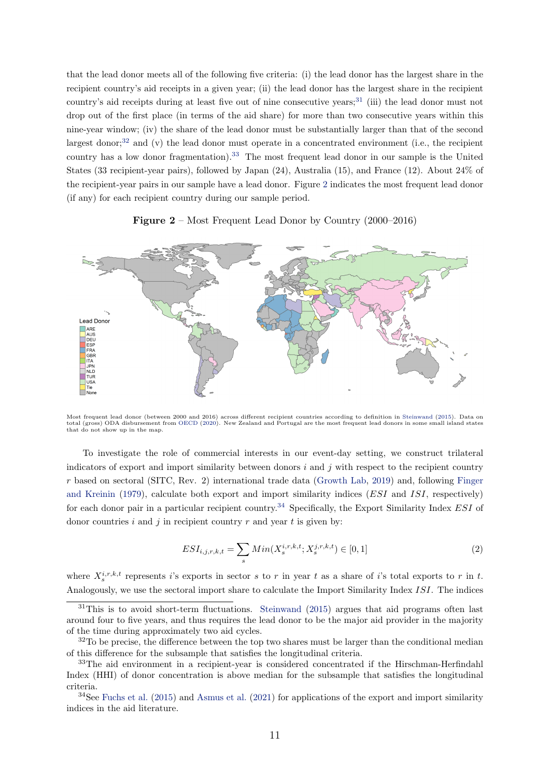that the lead donor meets all of the following five criteria: (i) the lead donor has the largest share in the recipient country's aid receipts in a given year; (ii) the lead donor has the largest share in the recipient country's aid receipts during at least five out of nine consecutive years;<sup>[31](#page-11-0)</sup> (iii) the lead donor must not drop out of the first place (in terms of the aid share) for more than two consecutive years within this nine-year window; (iv) the share of the lead donor must be substantially larger than that of the second largest donor;<sup>[32](#page-11-1)</sup> and  $(v)$  the lead donor must operate in a concentrated environment (i.e., the recipient country has a low donor fragmentation).<sup>[33](#page-11-2)</sup> The most frequent lead donor in our sample is the United States (33 recipient-year pairs), followed by Japan (24), Australia (15), and France (12). About 24% of the recipient-year pairs in our sample have a lead donor. Figure [2](#page-11-3) indicates the most frequent lead donor (if any) for each recipient country during our sample period.

#### **Figure 2** – Most Frequent Lead Donor by Country  $(2000-2016)$

<span id="page-11-3"></span>

Most frequent lead donor (between 2000 and 2016) across different recipient countries according to definition in [Steinwand](#page-23-3) [\(2015\)](#page-23-3). Data on<br>total (gross) ODA disbursement from [OECD](#page-22-13) [\(2020\)](#page-22-13). New Zealand and Portugal are the m that do not show up in the map.

To investigate the role of commercial interests in our event-day setting, we construct trilateral indicators of export and import similarity between donors  $i$  and  $j$  with respect to the recipient country r based on sectoral (SITC, Rev. 2) international trade data [\(Growth Lab,](#page-21-14) [2019\)](#page-21-14) and, following [Finger](#page-21-6) [and Kreinin](#page-21-6) [\(1979\)](#page-21-6), calculate both export and import similarity indices (ESI and ISI, respectively) for each donor pair in a particular recipient country.<sup>[34](#page-11-4)</sup> Specifically, the Export Similarity Index ESI of donor countries i and i in recipient country r and year t is given by:

$$
ESI_{i,j,r,k,t} = \sum_{s} Min(X_s^{i,r,k,t}; X_s^{j,r,k,t}) \in [0,1]
$$
\n(2)

where  $X_s^{i,r,k,t}$  represents i's exports in sector s to r in year t as a share of i's total exports to r in t. Analogously, we use the sectoral import share to calculate the Import Similarity Index ISI. The indices

<span id="page-11-0"></span> $31$ This is to avoid short-term fluctuations. [Steinwand](#page-23-3) [\(2015\)](#page-23-3) argues that aid programs often last around four to five years, and thus requires the lead donor to be the major aid provider in the majority of the time during approximately two aid cycles.

<span id="page-11-1"></span> $32$ To be precise, the difference between the top two shares must be larger than the conditional median of this difference for the subsample that satisfies the longitudinal criteria.

<span id="page-11-2"></span><sup>&</sup>lt;sup>33</sup>The aid environment in a recipient-year is considered concentrated if the Hirschman-Herfindahl Index (HHI) of donor concentration is above median for the subsample that satisfies the longitudinal criteria.

<span id="page-11-4"></span> $34$ See [Fuchs et al.](#page-21-4) [\(2015\)](#page-21-4) and [Asmus et al.](#page-20-10) [\(2021\)](#page-20-10) for applications of the export and import similarity indices in the aid literature.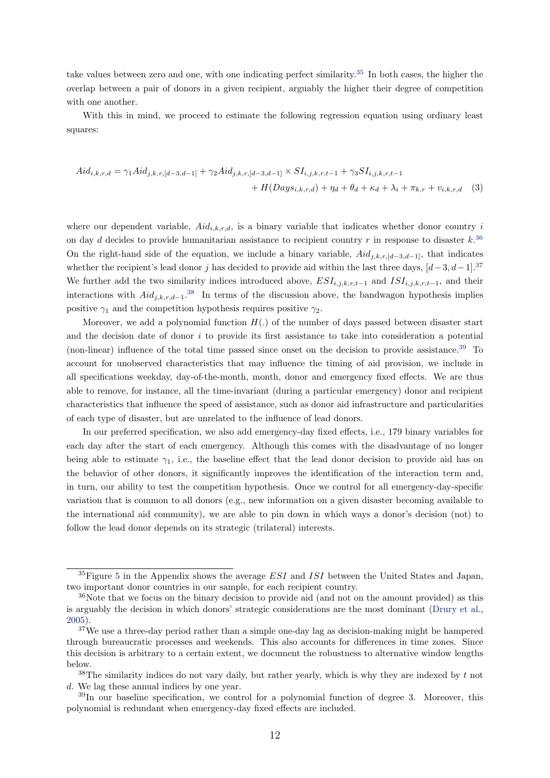take values between zero and one, with one indicating perfect similarity.[35](#page-12-0) In both cases, the higher the overlap between a pair of donors in a given recipient, arguably the higher their degree of competition with one another.

With this in mind, we proceed to estimate the following regression equation using ordinary least squares:

<span id="page-12-5"></span>
$$
Aid_{i,k,r,d} = \gamma_1 Aid_{j,k,r,[d-3,d-1]} + \gamma_2 Aid_{j,k,r,[d-3,d-1]} \times SI_{i,j,k,r,t-1} + \gamma_3 SI_{i,j,k,r,t-1} + H(Days_{i,k,r,d}) + \eta_d + \theta_d + \kappa_d + \lambda_i + \pi_{k,r} + v_{i,k,r,d}
$$
(3)

where our dependent variable,  $\text{A}id_{i,k,r,d}$ , is a binary variable that indicates whether donor country i on day d decides to provide humanitarian assistance to recipient country r in response to disaster  $k^{36}$  $k^{36}$  $k^{36}$ On the right-hand side of the equation, we include a binary variable,  $\text{A}id_{j,k,r,[d-3,d-1]}$ , that indicates whether the recipient's lead donor j has decided to provide aid within the last three days,  $[d-3, d-1]$ .<sup>[37](#page-12-2)</sup> We further add the two similarity indices introduced above,  $ESI_{i,j,k,r,t-1}$  and  $ISI_{i,j,k,r,t-1}$ , and their interactions with  $\text{Ai}d_{j,k,r,d-1}$ .<sup>[38](#page-12-3)</sup> In terms of the discussion above, the bandwagon hypothesis implies positive  $\gamma_1$  and the competition hypothesis requires positive  $\gamma_2$ .

Moreover, we add a polynomial function  $H(.)$  of the number of days passed between disaster start and the decision date of donor  $i$  to provide its first assistance to take into consideration a potential (non-linear) influence of the total time passed since onset on the decision to provide assistance.[39](#page-12-4) To account for unobserved characteristics that may influence the timing of aid provision, we include in all specifications weekday, day-of-the-month, month, donor and emergency fixed effects. We are thus able to remove, for instance, all the time-invariant (during a particular emergency) donor and recipient characteristics that influence the speed of assistance, such as donor aid infrastructure and particularities of each type of disaster, but are unrelated to the influence of lead donors.

In our preferred specification, we also add emergency-day fixed effects, i.e., 179 binary variables for each day after the start of each emergency. Although this comes with the disadvantage of no longer being able to estimate  $\gamma_1$ , i.e., the baseline effect that the lead donor decision to provide aid has on the behavior of other donors, it significantly improves the identification of the interaction term and, in turn, our ability to test the competition hypothesis. Once we control for all emergency-day-specific variation that is common to all donors (e.g., new information on a given disaster becoming available to the international aid community), we are able to pin down in which ways a donor's decision (not) to follow the lead donor depends on its strategic (trilateral) interests.

<span id="page-12-0"></span> ${}^{35}$  ${}^{35}$  ${}^{35}$ Figure 5 in the Appendix shows the average *ESI* and *ISI* between the United States and Japan, two important donor countries in our sample, for each recipient country.

<span id="page-12-1"></span><sup>&</sup>lt;sup>36</sup>Note that we focus on the binary decision to provide aid (and not on the amount provided) as this is arguably the decision in which donors' strategic considerations are the most dominant [\(Drury et al.,](#page-21-2) [2005\)](#page-21-2).

<span id="page-12-2"></span> $37$ We use a three-day period rather than a simple one-day lag as decision-making might be hampered through bureaucratic processes and weekends. This also accounts for differences in time zones. Since this decision is arbitrary to a certain extent, we document the robustness to alternative window lengths below.

<span id="page-12-3"></span> $38$ The similarity indices do not vary daily, but rather yearly, which is why they are indexed by t not d. We lag these annual indices by one year.

<span id="page-12-4"></span> $39\text{In}$  our baseline specification, we control for a polynomial function of degree 3. Moreover, this polynomial is redundant when emergency-day fixed effects are included.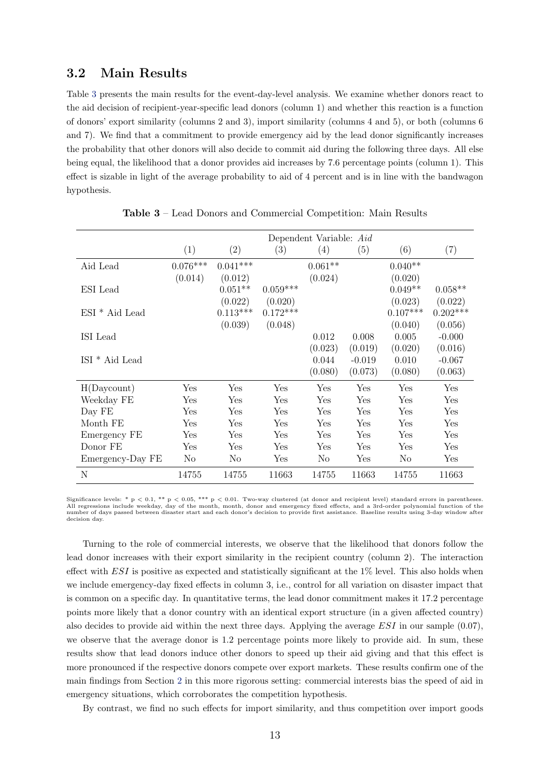#### 3.2 Main Results

Table [3](#page-13-0) presents the main results for the event-day-level analysis. We examine whether donors react to the aid decision of recipient-year-specific lead donors (column 1) and whether this reaction is a function of donors' export similarity (columns 2 and 3), import similarity (columns 4 and 5), or both (columns 6 and 7). We find that a commitment to provide emergency aid by the lead donor significantly increases the probability that other donors will also decide to commit aid during the following three days. All else being equal, the likelihood that a donor provides aid increases by 7.6 percentage points (column 1). This effect is sizable in light of the average probability to aid of 4 percent and is in line with the bandwagon hypothesis.

<span id="page-13-0"></span>

|                           | Dependent Variable: Aid |                |            |                |          |                |            |  |  |
|---------------------------|-------------------------|----------------|------------|----------------|----------|----------------|------------|--|--|
|                           | (1)                     | (2)            | (3)        | (4)            | (5)      | (6)            | (7)        |  |  |
| Aid Lead                  | $0.076***$              | $0.041***$     |            | $0.061**$      |          | $0.040**$      |            |  |  |
|                           | (0.014)                 | (0.012)        |            | (0.024)        |          | (0.020)        |            |  |  |
| ESI Lead                  |                         | $0.051**$      | $0.059***$ |                |          | $0.049**$      | $0.058**$  |  |  |
|                           |                         | (0.022)        | (0.020)    |                |          | (0.023)        | (0.022)    |  |  |
| ESI <sup>*</sup> Aid Lead |                         | $0.113***$     | $0.172***$ |                |          | $0.107***$     | $0.202***$ |  |  |
|                           |                         | (0.039)        | (0.048)    |                |          | (0.040)        | (0.056)    |  |  |
| ISI Lead                  |                         |                |            | 0.012          | 0.008    | 0.005          | $-0.000$   |  |  |
|                           |                         |                |            | (0.023)        | (0.019)  | (0.020)        | (0.016)    |  |  |
| ISI <sup>*</sup> Aid Lead |                         |                |            | 0.044          | $-0.019$ | 0.010          | $-0.067$   |  |  |
|                           |                         |                |            | (0.080)        | (0.073)  | (0.080)        | (0.063)    |  |  |
| H(Daycount)               | Yes                     | Yes            | Yes        | Yes            | Yes      | Yes            | Yes        |  |  |
| Weekday FE                | Yes                     | Yes            | Yes        | Yes            | Yes      | Yes            | Yes        |  |  |
| Day FE                    | Yes                     | Yes            | Yes        | Yes            | Yes      | Yes            | Yes        |  |  |
| Month FE                  | Yes                     | Yes            | Yes        | Yes            | Yes      | Yes            | Yes        |  |  |
| Emergency FE              | Yes                     | Yes            | Yes        | Yes            | Yes      | Yes            | Yes        |  |  |
| Donor FE                  | Yes                     | Yes            | Yes        | Yes            | Yes      | Yes            | Yes        |  |  |
| Emergency-Day FE          | No.                     | N <sub>o</sub> | Yes        | N <sub>o</sub> | Yes      | N <sub>o</sub> | Yes        |  |  |
| N                         | 14755                   | 14755          | 11663      | 14755          | 11663    | 14755          | 11663      |  |  |

Table 3 – Lead Donors and Commercial Competition: Main Results

Significance levels: \*  $p < 0.1$ , \*\*  $p < 0.05$ , \*\*\*  $p < 0.01$ . Two-way clustered (at donor and recipient level) standard errors in parentheses.<br>All regressions include weekday, day of the month, month, donor and emergency number of days passed between disaster start and each donor's decision to provide first assistance. Baseline results using 3-day window after decision day.

Turning to the role of commercial interests, we observe that the likelihood that donors follow the lead donor increases with their export similarity in the recipient country (column 2). The interaction effect with  $ESI$  is positive as expected and statistically significant at the  $1\%$  level. This also holds when we include emergency-day fixed effects in column 3, i.e., control for all variation on disaster impact that is common on a specific day. In quantitative terms, the lead donor commitment makes it 17.2 percentage points more likely that a donor country with an identical export structure (in a given affected country) also decides to provide aid within the next three days. Applying the average  $ESI$  in our sample (0.07), we observe that the average donor is 1.2 percentage points more likely to provide aid. In sum, these results show that lead donors induce other donors to speed up their aid giving and that this effect is more pronounced if the respective donors compete over export markets. These results confirm one of the main findings from Section [2](#page-3-0) in this more rigorous setting: commercial interests bias the speed of aid in emergency situations, which corroborates the competition hypothesis.

By contrast, we find no such effects for import similarity, and thus competition over import goods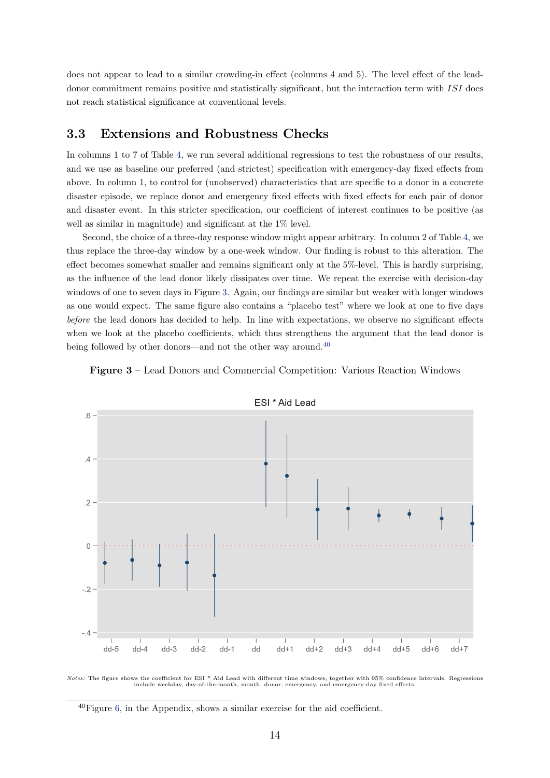does not appear to lead to a similar crowding-in effect (columns 4 and 5). The level effect of the leaddonor commitment remains positive and statistically significant, but the interaction term with ISI does not reach statistical significance at conventional levels.

### 3.3 Extensions and Robustness Checks

In columns 1 to 7 of Table [4,](#page-15-0) we run several additional regressions to test the robustness of our results, and we use as baseline our preferred (and strictest) specification with emergency-day fixed effects from above. In column 1, to control for (unobserved) characteristics that are specific to a donor in a concrete disaster episode, we replace donor and emergency fixed effects with fixed effects for each pair of donor and disaster event. In this stricter specification, our coefficient of interest continues to be positive (as well as similar in magnitude) and significant at the 1% level.

Second, the choice of a three-day response window might appear arbitrary. In column 2 of Table [4,](#page-15-0) we thus replace the three-day window by a one-week window. Our finding is robust to this alteration. The effect becomes somewhat smaller and remains significant only at the 5%-level. This is hardly surprising, as the influence of the lead donor likely dissipates over time. We repeat the exercise with decision-day windows of one to seven days in Figure [3.](#page-14-0) Again, our findings are similar but weaker with longer windows as one would expect. The same figure also contains a "placebo test" where we look at one to five days before the lead donors has decided to help. In line with expectations, we observe no significant effects when we look at the placebo coefficients, which thus strengthens the argument that the lead donor is being followed by other donors—and not the other way around.<sup>[40](#page-14-1)</sup>

<span id="page-14-0"></span>



ESI \* Aid Lead

Notes: The figure shows the coefficient for ESI \* Aid Lead with different time windows, together with 95% confidence intervals. Regressions include weekday, day-of-the-month, month, donor, emergency, and emergency-day fixed effects.

<span id="page-14-1"></span> $^{40}$ Figure [6,](#page-31-0) in the Appendix, shows a similar exercise for the aid coefficient.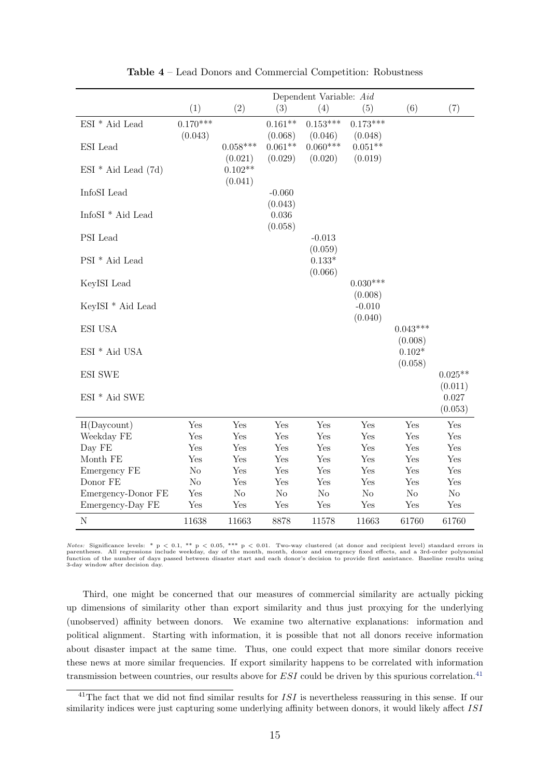<span id="page-15-0"></span>

|                                            | Dependent Variable: Aid |            |           |            |            |            |           |  |
|--------------------------------------------|-------------------------|------------|-----------|------------|------------|------------|-----------|--|
|                                            | (1)                     | (2)        | (3)       | (4)        | (5)        | (6)        | (7)       |  |
| $ESI * Aid$ Lead                           | $0.170***$              |            | $0.161**$ | $0.153***$ | $0.173***$ |            |           |  |
|                                            | (0.043)                 |            | (0.068)   | (0.046)    | (0.048)    |            |           |  |
| ESI Lead                                   |                         | $0.058***$ | $0.061**$ | $0.060***$ | $0.051**$  |            |           |  |
|                                            |                         | (0.021)    | (0.029)   | (0.020)    | (0.019)    |            |           |  |
| $ESI * Aid Lead (7d)$                      |                         | $0.102**$  |           |            |            |            |           |  |
|                                            |                         | (0.041)    |           |            |            |            |           |  |
| InfoSI Lead                                |                         |            | $-0.060$  |            |            |            |           |  |
|                                            |                         |            | (0.043)   |            |            |            |           |  |
| $\mathop{\rm InfoS I}\nolimits$ * Aid Lead |                         |            | 0.036     |            |            |            |           |  |
| PSI Lead                                   |                         |            | (0.058)   | $-0.013$   |            |            |           |  |
|                                            |                         |            |           | (0.059)    |            |            |           |  |
| PSI <sup>*</sup> Aid Lead                  |                         |            |           | $0.133*$   |            |            |           |  |
|                                            |                         |            |           | (0.066)    |            |            |           |  |
| KeyISI Lead                                |                         |            |           |            | $0.030***$ |            |           |  |
|                                            |                         |            |           |            | (0.008)    |            |           |  |
| KeyISI <sup>*</sup> Aid Lead               |                         |            |           |            | $-0.010$   |            |           |  |
|                                            |                         |            |           |            | (0.040)    |            |           |  |
| <b>ESI USA</b>                             |                         |            |           |            |            | $0.043***$ |           |  |
|                                            |                         |            |           |            |            | (0.008)    |           |  |
| $ESI * Aid USA$                            |                         |            |           |            |            | $0.102*$   |           |  |
|                                            |                         |            |           |            |            | (0.058)    |           |  |
| <b>ESI SWE</b>                             |                         |            |           |            |            |            | $0.025**$ |  |
|                                            |                         |            |           |            |            |            | (0.011)   |  |
| $ESI * Aid SWE$                            |                         |            |           |            |            |            | 0.027     |  |
|                                            |                         |            |           |            |            |            | (0.053)   |  |
| H(Daycount)                                | Yes                     | Yes        | Yes       | Yes        | Yes        | Yes        | Yes       |  |
| Weekday FE                                 | Yes                     | Yes        | Yes       | Yes        | Yes        | Yes        | Yes       |  |
| Day FE                                     | Yes                     | Yes        | Yes       | Yes        | Yes        | Yes        | Yes       |  |
| Month FE                                   | Yes                     | Yes        | Yes       | Yes        | Yes        | Yes        | Yes       |  |
| Emergency FE                               | $\rm No$                | Yes        | Yes       | Yes        | Yes        | Yes        | Yes       |  |
| Donor FE                                   | $\rm No$                | Yes        | Yes       | Yes        | Yes        | Yes        | Yes       |  |
| Emergency-Donor FE                         | Yes                     | No         | No        | No         | $\rm No$   | $\rm No$   | $\rm No$  |  |
| Emergency-Day FE                           | Yes                     | Yes        | Yes       | Yes        | Yes        | Yes        | Yes       |  |
| ${\rm N}$                                  | 11638                   | 11663      | 8878      | 11578      | 11663      | 61760      | 61760     |  |

Table 4 – Lead Donors and Commercial Competition: Robustness

 $Notes:$  Significance levels: \*  $p < 0.1$ , \*\*  $p < 0.05$ , \*\*\*  $p < 0.01$ . Two-way clustered (at donor and recipient level) standard errors in parentheses. All regressions include weekday, day of the month, month, donor and emerg 3-day window after decision day.

Third, one might be concerned that our measures of commercial similarity are actually picking up dimensions of similarity other than export similarity and thus just proxying for the underlying (unobserved) affinity between donors. We examine two alternative explanations: information and political alignment. Starting with information, it is possible that not all donors receive information about disaster impact at the same time. Thus, one could expect that more similar donors receive these news at more similar frequencies. If export similarity happens to be correlated with information transmission between countries, our results above for  $ESI$  could be driven by this spurious correlation.<sup>[41](#page-15-1)</sup>

<span id="page-15-1"></span><sup>&</sup>lt;sup>41</sup>The fact that we did not find similar results for  $ISI$  is nevertheless reassuring in this sense. If our similarity indices were just capturing some underlying affinity between donors, it would likely affect ISI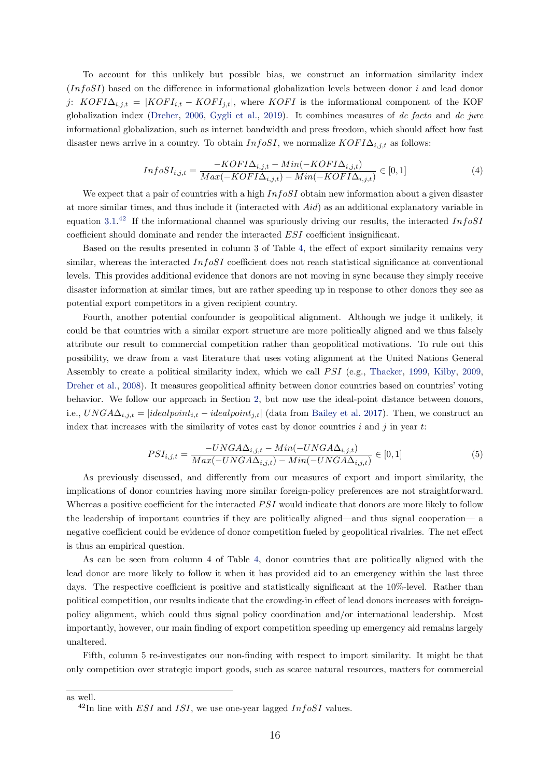To account for this unlikely but possible bias, we construct an information similarity index  $(InfoSI)$  based on the difference in informational globalization levels between donor i and lead donor j:  $KOFI\Delta_{i,j,t} = |KOFI_{i,t} - KOFI_{j,t}|$ , where  $KOFI$  is the informational component of the KOF globalization index [\(Dreher,](#page-20-11) [2006,](#page-20-11) [Gygli et al.,](#page-21-15) [2019\)](#page-21-15). It combines measures of de facto and de jure informational globalization, such as internet bandwidth and press freedom, which should affect how fast disaster news arrive in a country. To obtain  $InfoSI$ , we normalize  $KOFI\Delta_{i,j,t}$  as follows:

$$
InfoSI_{i,j,t} = \frac{-KOFI\Delta_{i,j,t} - Min(-KOFI\Delta_{i,j,t})}{Max(-KOFI\Delta_{i,j,t}) - Min(-KOFI\Delta_{i,j,t})} \in [0,1]
$$
\n
$$
(4)
$$

We expect that a pair of countries with a high  $InfoSI$  obtain new information about a given disaster at more similar times, and thus include it (interacted with Aid) as an additional explanatory variable in equation [3.1.](#page-12-5)<sup>[42](#page-16-0)</sup> If the informational channel was spuriously driving our results, the interacted InfoSI coefficient should dominate and render the interacted ESI coefficient insignificant.

Based on the results presented in column 3 of Table [4,](#page-15-0) the effect of export similarity remains very similar, whereas the interacted  $InfoSI$  coefficient does not reach statistical significance at conventional levels. This provides additional evidence that donors are not moving in sync because they simply receive disaster information at similar times, but are rather speeding up in response to other donors they see as potential export competitors in a given recipient country.

Fourth, another potential confounder is geopolitical alignment. Although we judge it unlikely, it could be that countries with a similar export structure are more politically aligned and we thus falsely attribute our result to commercial competition rather than geopolitical motivations. To rule out this possibility, we draw from a vast literature that uses voting alignment at the United Nations General Assembly to create a political similarity index, which we call  $PSI$  (e.g., [Thacker,](#page-23-7) [1999,](#page-23-7) [Kilby,](#page-22-10) [2009,](#page-22-10) [Dreher et al.,](#page-20-12) [2008\)](#page-20-12). It measures geopolitical affinity between donor countries based on countries' voting behavior. We follow our approach in Section [2,](#page-3-0) but now use the ideal-point distance between donors, i.e.,  $UNG A \Delta_{i,j,t} = |idealpoint_{i,t} - idealpoint_{j,t}|$  (data from [Bailey et al.](#page-20-6) [2017\)](#page-20-6). Then, we construct an index that increases with the similarity of votes cast by donor countries  $i$  and  $j$  in year  $t$ :

$$
PSI_{i,j,t} = \frac{-UNGA\Delta_{i,j,t} - Min(-UNGA\Delta_{i,j,t})}{Max(-UNGA\Delta_{i,j,t}) - Min(-UNGA\Delta_{i,j,t})} \in [0,1]
$$
\n
$$
(5)
$$

As previously discussed, and differently from our measures of export and import similarity, the implications of donor countries having more similar foreign-policy preferences are not straightforward. Whereas a positive coefficient for the interacted *PSI* would indicate that donors are more likely to follow the leadership of important countries if they are politically aligned—and thus signal cooperation— a negative coefficient could be evidence of donor competition fueled by geopolitical rivalries. The net effect is thus an empirical question.

As can be seen from column 4 of Table [4,](#page-15-0) donor countries that are politically aligned with the lead donor are more likely to follow it when it has provided aid to an emergency within the last three days. The respective coefficient is positive and statistically significant at the 10%-level. Rather than political competition, our results indicate that the crowding-in effect of lead donors increases with foreignpolicy alignment, which could thus signal policy coordination and/or international leadership. Most importantly, however, our main finding of export competition speeding up emergency aid remains largely unaltered.

Fifth, column 5 re-investigates our non-finding with respect to import similarity. It might be that only competition over strategic import goods, such as scarce natural resources, matters for commercial

as well.

<span id="page-16-0"></span> $^{42}$ In line with *ESI* and *ISI*, we use one-year lagged *InfoSI* values.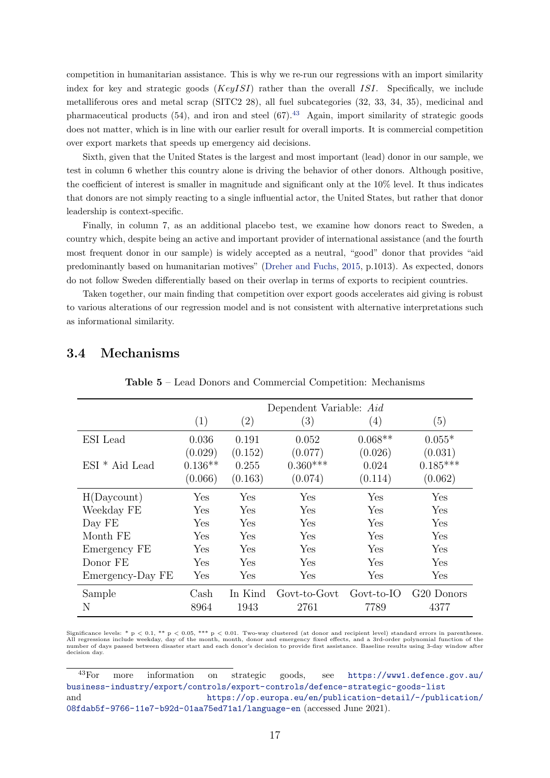competition in humanitarian assistance. This is why we re-run our regressions with an import similarity index for key and strategic goods  $(KeyISI)$  rather than the overall ISI. Specifically, we include metalliferous ores and metal scrap (SITC2 28), all fuel subcategories (32, 33, 34, 35), medicinal and pharmaceutical products  $(54)$ , and iron and steel  $(67)$ .<sup>[43](#page-17-0)</sup> Again, import similarity of strategic goods does not matter, which is in line with our earlier result for overall imports. It is commercial competition over export markets that speeds up emergency aid decisions.

Sixth, given that the United States is the largest and most important (lead) donor in our sample, we test in column 6 whether this country alone is driving the behavior of other donors. Although positive, the coefficient of interest is smaller in magnitude and significant only at the 10% level. It thus indicates that donors are not simply reacting to a single influential actor, the United States, but rather that donor leadership is context-specific.

Finally, in column 7, as an additional placebo test, we examine how donors react to Sweden, a country which, despite being an active and important provider of international assistance (and the fourth most frequent donor in our sample) is widely accepted as a neutral, "good" donor that provides "aid predominantly based on humanitarian motives" [\(Dreher and Fuchs,](#page-20-13) [2015,](#page-20-13) p.1013). As expected, donors do not follow Sweden differentially based on their overlap in terms of exports to recipient countries.

Taken together, our main finding that competition over export goods accelerates aid giving is robust to various alterations of our regression model and is not consistent with alternative interpretations such as informational similarity.

|                  | Dependent Variable: Aid |                   |              |            |                        |  |  |  |  |
|------------------|-------------------------|-------------------|--------------|------------|------------------------|--|--|--|--|
|                  | (1)                     | $\left( 2\right)$ | (3)          | (4)        | (5)                    |  |  |  |  |
| ESI Lead         | 0.036                   | 0.191             | 0.052        | $0.068**$  | $0.055*$               |  |  |  |  |
|                  | (0.029)                 | (0.152)           | (0.077)      | (0.026)    | (0.031)                |  |  |  |  |
| $ESI * Aid Lead$ | $0.136**$               | 0.255             | $0.360***$   | 0.024      | $0.185***$             |  |  |  |  |
|                  | (0.066)                 | (0.163)           | (0.074)      | (0.114)    | (0.062)                |  |  |  |  |
| H(Daycount)      | $\operatorname{Yes}$    | Yes               | Yes          | Yes        | Yes                    |  |  |  |  |
| Weekday FE       | Yes                     | Yes               | Yes          | Yes        | Yes                    |  |  |  |  |
| Day FE           | Yes                     | Yes               | Yes          | Yes        | Yes                    |  |  |  |  |
| Month FE         | Yes                     | Yes               | Yes          | Yes        | Yes                    |  |  |  |  |
| Emergency FE     | Yes                     | Yes               | Yes          | Yes        | Yes                    |  |  |  |  |
| Donor FE         | Yes                     | Yes               | Yes          | Yes        | Yes                    |  |  |  |  |
| Emergency-Day FE | Yes                     | Yes               | Yes          | Yes        | $_{\rm Yes}$           |  |  |  |  |
| Sample           | Cash                    | In Kind           | Govt-to-Govt | Govt-to-IO | G <sub>20</sub> Donors |  |  |  |  |
| Ν                | 8964                    | 1943              | 2761         | 7789       | 4377                   |  |  |  |  |

#### <span id="page-17-1"></span>3.4 Mechanisms

Table 5 – Lead Donors and Commercial Competition: Mechanisms

Significance levels: \* p < 0.1, \*\* p < 0.05, \*\*\* p < 0.01. Two-way clustered (at donor and recipient level) standard errors in parentheses. All regressions include weekday, day of the month, month, donor and emergency fixed effects, and a 3rd-order polynomial function of the<br>number of days passed between disaster start and each donor's decision to provide firs decision day.

<span id="page-17-0"></span><sup>43</sup>For more information on strategic goods, see [https://www1.defence.gov.au/](https://www1.defence.gov.au/business-industry/export/controls/export-controls/defence-strategic-goods-list) [business-industry/export/controls/export-controls/defence-strategic-goods-list](https://www1.defence.gov.au/business-industry/export/controls/export-controls/defence-strategic-goods-list) and [https://op.europa.eu/en/publication-detail/-/publication/](https://op.europa.eu/en/publication-detail/-/publication/08fdab5f-9766-11e7-b92d-01aa75ed71a1/language-en) [08fdab5f-9766-11e7-b92d-01aa75ed71a1/language-en](https://op.europa.eu/en/publication-detail/-/publication/08fdab5f-9766-11e7-b92d-01aa75ed71a1/language-en) (accessed June 2021).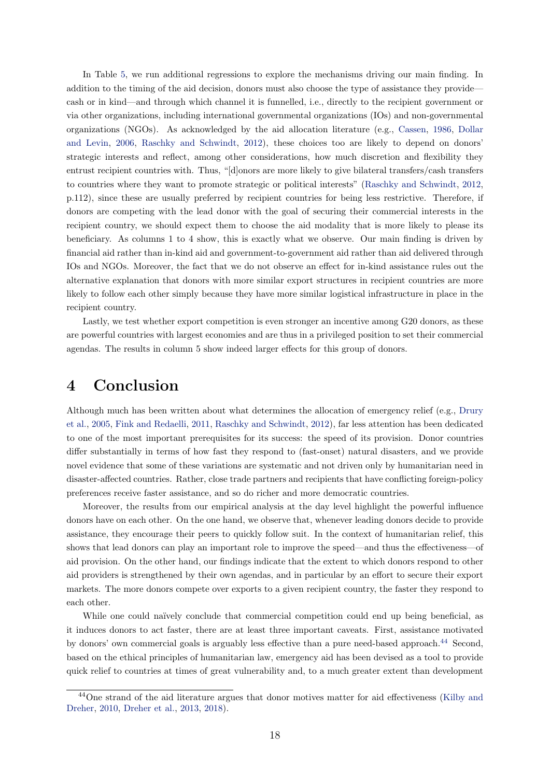In Table [5,](#page-17-1) we run additional regressions to explore the mechanisms driving our main finding. In addition to the timing of the aid decision, donors must also choose the type of assistance they provide cash or in kind—and through which channel it is funnelled, i.e., directly to the recipient government or via other organizations, including international governmental organizations (IOs) and non-governmental organizations (NGOs). As acknowledged by the aid allocation literature (e.g., [Cassen,](#page-20-14) [1986,](#page-20-14) [Dollar](#page-20-15) [and Levin,](#page-20-15) [2006,](#page-20-15) [Raschky and Schwindt,](#page-23-1) [2012\)](#page-23-1), these choices too are likely to depend on donors' strategic interests and reflect, among other considerations, how much discretion and flexibility they entrust recipient countries with. Thus, "[d]onors are more likely to give bilateral transfers/cash transfers to countries where they want to promote strategic or political interests" [\(Raschky and Schwindt,](#page-23-1) [2012,](#page-23-1) p.112), since these are usually preferred by recipient countries for being less restrictive. Therefore, if donors are competing with the lead donor with the goal of securing their commercial interests in the recipient country, we should expect them to choose the aid modality that is more likely to please its beneficiary. As columns 1 to 4 show, this is exactly what we observe. Our main finding is driven by financial aid rather than in-kind aid and government-to-government aid rather than aid delivered through IOs and NGOs. Moreover, the fact that we do not observe an effect for in-kind assistance rules out the alternative explanation that donors with more similar export structures in recipient countries are more likely to follow each other simply because they have more similar logistical infrastructure in place in the recipient country.

Lastly, we test whether export competition is even stronger an incentive among G20 donors, as these are powerful countries with largest economies and are thus in a privileged position to set their commercial agendas. The results in column 5 show indeed larger effects for this group of donors.

## <span id="page-18-0"></span>4 Conclusion

Although much has been written about what determines the allocation of emergency relief (e.g., [Drury](#page-21-2) [et al.,](#page-21-2) [2005,](#page-21-2) [Fink and Redaelli,](#page-21-3) [2011,](#page-21-3) [Raschky and Schwindt,](#page-23-1) [2012\)](#page-23-1), far less attention has been dedicated to one of the most important prerequisites for its success: the speed of its provision. Donor countries differ substantially in terms of how fast they respond to (fast-onset) natural disasters, and we provide novel evidence that some of these variations are systematic and not driven only by humanitarian need in disaster-affected countries. Rather, close trade partners and recipients that have conflicting foreign-policy preferences receive faster assistance, and so do richer and more democratic countries.

Moreover, the results from our empirical analysis at the day level highlight the powerful influence donors have on each other. On the one hand, we observe that, whenever leading donors decide to provide assistance, they encourage their peers to quickly follow suit. In the context of humanitarian relief, this shows that lead donors can play an important role to improve the speed—and thus the effectiveness—of aid provision. On the other hand, our findings indicate that the extent to which donors respond to other aid providers is strengthened by their own agendas, and in particular by an effort to secure their export markets. The more donors compete over exports to a given recipient country, the faster they respond to each other.

While one could naïvely conclude that commercial competition could end up being beneficial, as it induces donors to act faster, there are at least three important caveats. First, assistance motivated by donors' own commercial goals is arguably less effective than a pure need-based approach.<sup>[44](#page-18-1)</sup> Second, based on the ethical principles of humanitarian law, emergency aid has been devised as a tool to provide quick relief to countries at times of great vulnerability and, to a much greater extent than development

<span id="page-18-1"></span><sup>&</sup>lt;sup>44</sup>One strand of the aid literature argues that donor motives matter for aid effectiveness [\(Kilby and](#page-22-15) [Dreher,](#page-22-15) [2010,](#page-22-15) [Dreher et al.,](#page-20-16) [2013,](#page-20-16) [2018\)](#page-20-17).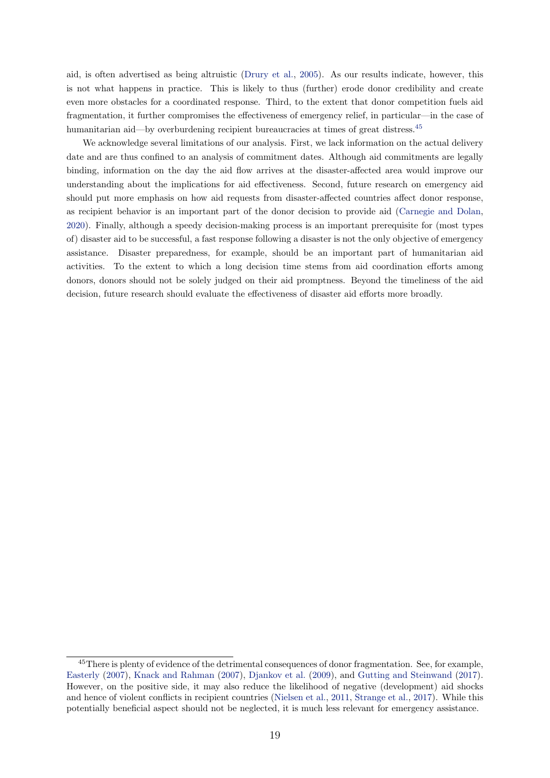aid, is often advertised as being altruistic [\(Drury et al.,](#page-21-2) [2005\)](#page-21-2). As our results indicate, however, this is not what happens in practice. This is likely to thus (further) erode donor credibility and create even more obstacles for a coordinated response. Third, to the extent that donor competition fuels aid fragmentation, it further compromises the effectiveness of emergency relief, in particular—in the case of humanitarian aid—by overburdening recipient bureaucracies at times of great distress.<sup>[45](#page-19-0)</sup>

We acknowledge several limitations of our analysis. First, we lack information on the actual delivery date and are thus confined to an analysis of commitment dates. Although aid commitments are legally binding, information on the day the aid flow arrives at the disaster-affected area would improve our understanding about the implications for aid effectiveness. Second, future research on emergency aid should put more emphasis on how aid requests from disaster-affected countries affect donor response, as recipient behavior is an important part of the donor decision to provide aid [\(Carnegie and Dolan,](#page-20-18) [2020\)](#page-20-18). Finally, although a speedy decision-making process is an important prerequisite for (most types of) disaster aid to be successful, a fast response following a disaster is not the only objective of emergency assistance. Disaster preparedness, for example, should be an important part of humanitarian aid activities. To the extent to which a long decision time stems from aid coordination efforts among donors, donors should not be solely judged on their aid promptness. Beyond the timeliness of the aid decision, future research should evaluate the effectiveness of disaster aid efforts more broadly.

<span id="page-19-0"></span><sup>&</sup>lt;sup>45</sup>There is plenty of evidence of the detrimental consequences of donor fragmentation. See, for example, [Easterly](#page-21-16) [\(2007\)](#page-21-16), [Knack and Rahman](#page-22-16) [\(2007\)](#page-22-16), [Djankov et al.](#page-20-5) [\(2009\)](#page-20-5), and [Gutting and Steinwand](#page-21-17) [\(2017\)](#page-21-17). However, on the positive side, it may also reduce the likelihood of negative (development) aid shocks and hence of violent conflicts in recipient countries [\(Nielsen et al.,](#page-22-17) [2011,](#page-22-17) [Strange et al.,](#page-23-10) [2017\)](#page-23-10). While this potentially beneficial aspect should not be neglected, it is much less relevant for emergency assistance.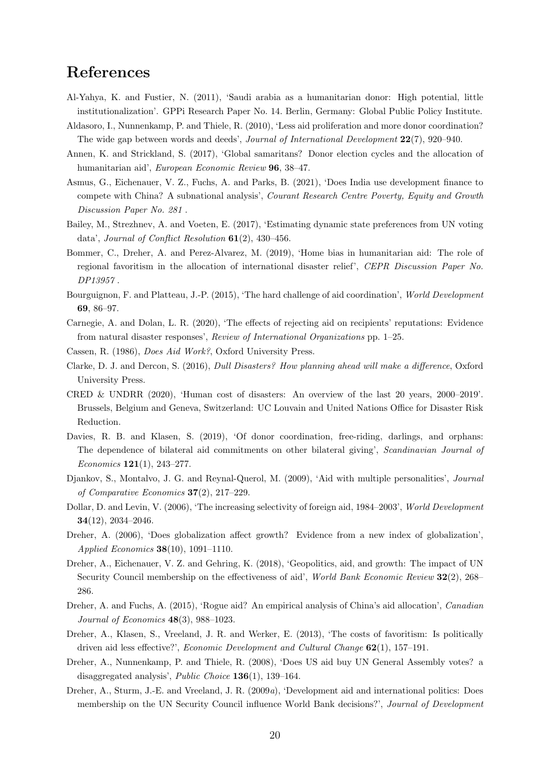## References

- <span id="page-20-19"></span>Al-Yahya, K. and Fustier, N. (2011), 'Saudi arabia as a humanitarian donor: High potential, little institutionalization'. GPPi Research Paper No. 14. Berlin, Germany: Global Public Policy Institute.
- <span id="page-20-3"></span>Aldasoro, I., Nunnenkamp, P. and Thiele, R. (2010), 'Less aid proliferation and more donor coordination? The wide gap between words and deeds', *Journal of International Development*  $22(7)$ , 920–940.
- <span id="page-20-1"></span>Annen, K. and Strickland, S. (2017), 'Global samaritans? Donor election cycles and the allocation of humanitarian aid', European Economic Review 96, 38–47.
- <span id="page-20-10"></span>Asmus, G., Eichenauer, V. Z., Fuchs, A. and Parks, B. (2021), 'Does India use development finance to compete with China? A subnational analysis', Courant Research Centre Poverty, Equity and Growth Discussion Paper No. 281 .
- <span id="page-20-6"></span>Bailey, M., Strezhnev, A. and Voeten, E. (2017), 'Estimating dynamic state preferences from UN voting data', Journal of Conflict Resolution 61(2), 430–456.
- <span id="page-20-7"></span>Bommer, C., Dreher, A. and Perez-Alvarez, M. (2019), 'Home bias in humanitarian aid: The role of regional favoritism in the allocation of international disaster relief', CEPR Discussion Paper No. DP13957 .
- <span id="page-20-9"></span>Bourguignon, F. and Platteau, J.-P. (2015), 'The hard challenge of aid coordination', World Development 69, 86–97.
- <span id="page-20-18"></span>Carnegie, A. and Dolan, L. R. (2020), 'The effects of rejecting aid on recipients' reputations: Evidence from natural disaster responses', Review of International Organizations pp. 1–25.
- <span id="page-20-14"></span>Cassen, R. (1986), Does Aid Work?, Oxford University Press.
- <span id="page-20-2"></span>Clarke, D. J. and Dercon, S. (2016), Dull Disasters? How planning ahead will make a difference, Oxford University Press.
- <span id="page-20-0"></span>CRED & UNDRR (2020), 'Human cost of disasters: An overview of the last 20 years, 2000–2019'. Brussels, Belgium and Geneva, Switzerland: UC Louvain and United Nations Office for Disaster Risk Reduction.
- <span id="page-20-4"></span>Davies, R. B. and Klasen, S. (2019), 'Of donor coordination, free-riding, darlings, and orphans: The dependence of bilateral aid commitments on other bilateral giving', Scandinavian Journal of Economics 121(1), 243–277.
- <span id="page-20-5"></span>Djankov, S., Montalvo, J. G. and Reynal-Querol, M. (2009), 'Aid with multiple personalities', Journal of Comparative Economics 37(2), 217–229.
- <span id="page-20-15"></span>Dollar, D. and Levin, V. (2006), 'The increasing selectivity of foreign aid, 1984–2003', World Development 34(12), 2034–2046.
- <span id="page-20-11"></span>Dreher, A. (2006), 'Does globalization affect growth? Evidence from a new index of globalization', Applied Economics 38(10), 1091–1110.
- <span id="page-20-17"></span>Dreher, A., Eichenauer, V. Z. and Gehring, K. (2018), 'Geopolitics, aid, and growth: The impact of UN Security Council membership on the effectiveness of aid', World Bank Economic Review 32(2), 268– 286.
- <span id="page-20-13"></span>Dreher, A. and Fuchs, A. (2015), 'Rogue aid? An empirical analysis of China's aid allocation', Canadian Journal of Economics 48(3), 988–1023.
- <span id="page-20-16"></span>Dreher, A., Klasen, S., Vreeland, J. R. and Werker, E. (2013), 'The costs of favoritism: Is politically driven aid less effective?', Economic Development and Cultural Change 62(1), 157–191.
- <span id="page-20-12"></span>Dreher, A., Nunnenkamp, P. and Thiele, R. (2008), 'Does US aid buy UN General Assembly votes? a disaggregated analysis', Public Choice 136(1), 139–164.
- <span id="page-20-8"></span>Dreher, A., Sturm, J.-E. and Vreeland, J. R. (2009a), 'Development aid and international politics: Does membership on the UN Security Council influence World Bank decisions?', Journal of Development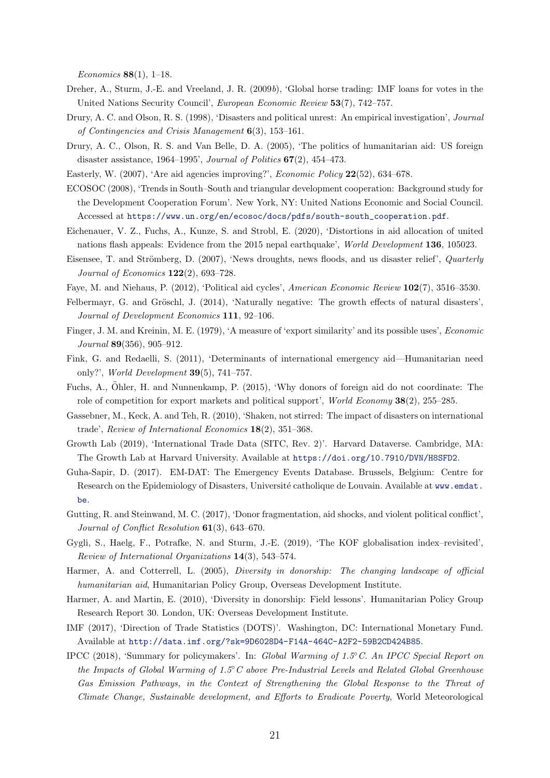Economics 88(1), 1–18.

- <span id="page-21-18"></span>Dreher, A., Sturm, J.-E. and Vreeland, J. R. (2009b), 'Global horse trading: IMF loans for votes in the United Nations Security Council', European Economic Review 53(7), 742–757.
- <span id="page-21-11"></span>Drury, A. C. and Olson, R. S. (1998), 'Disasters and political unrest: An empirical investigation', Journal of Contingencies and Crisis Management 6(3), 153–161.
- <span id="page-21-2"></span>Drury, A. C., Olson, R. S. and Van Belle, D. A. (2005), 'The politics of humanitarian aid: US foreign disaster assistance, 1964–1995', Journal of Politics  $67(2)$ , 454–473.
- <span id="page-21-16"></span>Easterly, W. (2007), 'Are aid agencies improving?', Economic Policy 22(52), 634–678.
- <span id="page-21-20"></span>ECOSOC (2008), 'Trends in South–South and triangular development cooperation: Background study for the Development Cooperation Forum'. New York, NY: United Nations Economic and Social Council. Accessed at [https://www.un.org/en/ecosoc/docs/pdfs/south-south\\_cooperation.pdf](https://www.un.org/en/ecosoc/docs/pdfs/south-south_cooperation.pdf).
- <span id="page-21-7"></span>Eichenauer, V. Z., Fuchs, A., Kunze, S. and Strobl, E. (2020), 'Distortions in aid allocation of united nations flash appeals: Evidence from the 2015 nepal earthquake', World Development 136, 105023.
- <span id="page-21-13"></span>Eisensee, T. and Strömberg, D. (2007), 'News droughts, news floods, and us disaster relief', *Quarterly* Journal of Economics 122(2), 693–728.
- <span id="page-21-12"></span>Faye, M. and Niehaus, P. (2012), 'Political aid cycles', American Economic Review 102(7), 3516–3530.
- <span id="page-21-1"></span>Felbermayr, G. and Gröschl, J. (2014), 'Naturally negative: The growth effects of natural disasters', Journal of Development Economics 111, 92–106.
- <span id="page-21-6"></span>Finger, J. M. and Kreinin, M. E. (1979), 'A measure of 'export similarity' and its possible uses', Economic Journal 89(356), 905–912.
- <span id="page-21-3"></span>Fink, G. and Redaelli, S. (2011), 'Determinants of international emergency aid—Humanitarian need only?', World Development 39(5), 741–757.
- <span id="page-21-4"></span>Fuchs, A., Öhler, H. and Nunnenkamp, P. (2015), 'Why donors of foreign aid do not coordinate: The role of competition for export markets and political support', World Economy 38(2), 255–285.
- <span id="page-21-9"></span>Gassebner, M., Keck, A. and Teh, R. (2010), 'Shaken, not stirred: The impact of disasters on international trade', Review of International Economics 18(2), 351–368.
- <span id="page-21-14"></span>Growth Lab (2019), 'International Trade Data (SITC, Rev. 2)'. Harvard Dataverse. Cambridge, MA: The Growth Lab at Harvard University. Available at <https://doi.org/10.7910/DVN/H8SFD2>.
- <span id="page-21-5"></span>Guha-Sapir, D. (2017). EM-DAT: The Emergency Events Database. Brussels, Belgium: Centre for Research on the Epidemiology of Disasters, Université catholique de Louvain. Available at [www.emdat.](www.emdat.be) [be](www.emdat.be).
- <span id="page-21-17"></span>Gutting, R. and Steinwand, M. C. (2017), 'Donor fragmentation, aid shocks, and violent political conflict', Journal of Conflict Resolution 61(3), 643–670.
- <span id="page-21-15"></span>Gygli, S., Haelg, F., Potrafke, N. and Sturm, J.-E. (2019), 'The KOF globalisation index–revisited', Review of International Organizations 14(3), 543–574.
- <span id="page-21-8"></span>Harmer, A. and Cotterrell, L. (2005), Diversity in donorship: The changing landscape of official humanitarian aid, Humanitarian Policy Group, Overseas Development Institute.
- <span id="page-21-19"></span>Harmer, A. and Martin, E. (2010), 'Diversity in donorship: Field lessons'. Humanitarian Policy Group Research Report 30. London, UK: Overseas Development Institute.
- <span id="page-21-10"></span>IMF (2017), 'Direction of Trade Statistics (DOTS)'. Washington, DC: International Monetary Fund. Available at <http://data.imf.org/?sk=9D6028D4-F14A-464C-A2F2-59B2CD424B85>.
- <span id="page-21-0"></span>IPCC (2018), 'Summary for policymakers'. In: Global Warming of 1.5◦C. An IPCC Special Report on the Impacts of Global Warming of 1.5◦C above Pre-Industrial Levels and Related Global Greenhouse Gas Emission Pathways, in the Context of Strengthening the Global Response to the Threat of Climate Change, Sustainable development, and Efforts to Eradicate Poverty, World Meteorological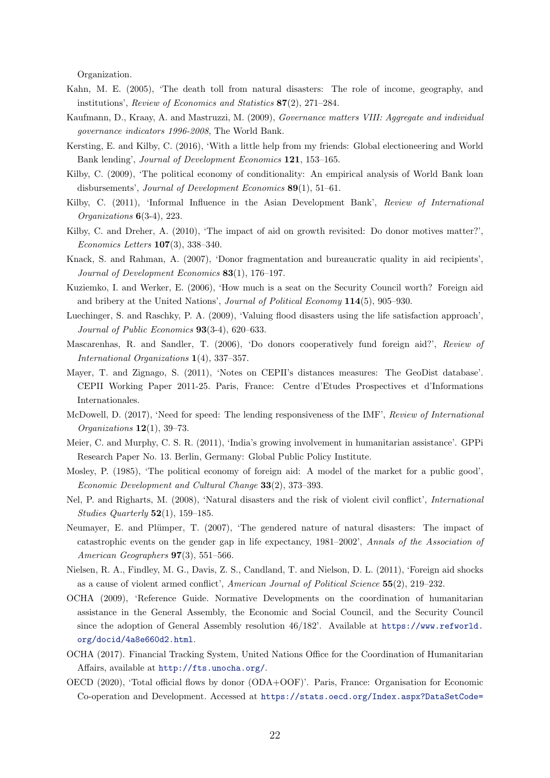Organization.

- <span id="page-22-0"></span>Kahn, M. E. (2005), 'The death toll from natural disasters: The role of income, geography, and institutions', Review of Economics and Statistics 87(2), 271–284.
- <span id="page-22-18"></span>Kaufmann, D., Kraay, A. and Mastruzzi, M. (2009), Governance matters VIII: Aggregate and individual governance indicators 1996-2008, The World Bank.
- <span id="page-22-5"></span>Kersting, E. and Kilby, C. (2016), 'With a little help from my friends: Global electioneering and World Bank lending', Journal of Development Economics 121, 153–165.
- <span id="page-22-10"></span>Kilby, C. (2009), 'The political economy of conditionality: An empirical analysis of World Bank loan disbursements', Journal of Development Economics 89(1), 51–61.
- <span id="page-22-4"></span>Kilby, C. (2011), 'Informal Influence in the Asian Development Bank', Review of International Organizations 6(3-4), 223.
- <span id="page-22-15"></span>Kilby, C. and Dreher, A. (2010), 'The impact of aid on growth revisited: Do donor motives matter?', Economics Letters 107(3), 338–340.
- <span id="page-22-16"></span>Knack, S. and Rahman, A. (2007), 'Donor fragmentation and bureaucratic quality in aid recipients', Journal of Development Economics 83(1), 176–197.
- <span id="page-22-12"></span>Kuziemko, I. and Werker, E. (2006), 'How much is a seat on the Security Council worth? Foreign aid and bribery at the United Nations', Journal of Political Economy 114(5), 905–930.
- <span id="page-22-3"></span>Luechinger, S. and Raschky, P. A. (2009), 'Valuing flood disasters using the life satisfaction approach', Journal of Public Economics 93(3-4), 620–633.
- <span id="page-22-8"></span>Mascarenhas, R. and Sandler, T. (2006), 'Do donors cooperatively fund foreign aid?', Review of International Organizations 1(4), 337–357.
- <span id="page-22-11"></span>Mayer, T. and Zignago, S. (2011), 'Notes on CEPII's distances measures: The GeoDist database'. CEPII Working Paper 2011-25. Paris, France: Centre d'Etudes Prospectives et d'Informations Internationales.
- <span id="page-22-6"></span>McDowell, D. (2017), 'Need for speed: The lending responsiveness of the IMF', Review of International Organizations 12(1), 39–73.
- <span id="page-22-19"></span>Meier, C. and Murphy, C. S. R. (2011), 'India's growing involvement in humanitarian assistance'. GPPi Research Paper No. 13. Berlin, Germany: Global Public Policy Institute.
- <span id="page-22-14"></span>Mosley, P. (1985), 'The political economy of foreign aid: A model of the market for a public good', Economic Development and Cultural Change 33(2), 373–393.
- <span id="page-22-2"></span>Nel, P. and Righarts, M. (2008), 'Natural disasters and the risk of violent civil conflict', International Studies Quarterly  $52(1)$ , 159–185.
- <span id="page-22-1"></span>Neumayer, E. and Plümper, T. (2007), 'The gendered nature of natural disasters: The impact of catastrophic events on the gender gap in life expectancy, 1981–2002', Annals of the Association of American Geographers 97(3), 551–566.
- <span id="page-22-17"></span>Nielsen, R. A., Findley, M. G., Davis, Z. S., Candland, T. and Nielson, D. L. (2011), 'Foreign aid shocks as a cause of violent armed conflict', American Journal of Political Science 55(2), 219–232.
- <span id="page-22-9"></span>OCHA (2009), 'Reference Guide. Normative Developments on the coordination of humanitarian assistance in the General Assembly, the Economic and Social Council, and the Security Council since the adoption of General Assembly resolution 46/182'. Available at [https://www.refworld.]( https://www.refworld.org/docid/4a8e660d2.html) [org/docid/4a8e660d2.html]( https://www.refworld.org/docid/4a8e660d2.html).
- <span id="page-22-7"></span>OCHA (2017). Financial Tracking System, United Nations Office for the Coordination of Humanitarian Affairs, available at <http://fts.unocha.org/>.
- <span id="page-22-13"></span>OECD (2020), 'Total official flows by donor (ODA+OOF)'. Paris, France: Organisation for Economic Co-operation and Development. Accessed at [https://stats.oecd.org/Index.aspx?DataSetCode=](https://stats.oecd.org/Index.aspx?DataSetCode=REF_TOTALOFFICIAL#)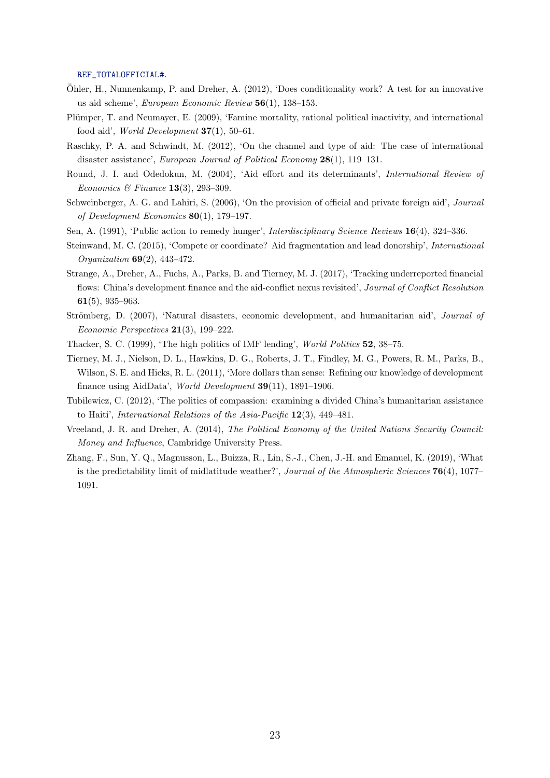[REF\\_TOTALOFFICIAL#](https://stats.oecd.org/Index.aspx?DataSetCode=REF_TOTALOFFICIAL#).

- <span id="page-23-13"></span>Ohler, H., Nunnenkamp, P. and Dreher, A. (2012), 'Does conditionality work? A test for an innovative ¨ us aid scheme', European Economic Review 56(1), 138–153.
- <span id="page-23-12"></span>Plümper, T. and Neumayer, E. (2009), 'Famine mortality, rational political inactivity, and international food aid', World Development  $37(1)$ , 50–61.
- <span id="page-23-1"></span>Raschky, P. A. and Schwindt, M. (2012), 'On the channel and type of aid: The case of international disaster assistance', European Journal of Political Economy 28(1), 119–131.
- <span id="page-23-2"></span>Round, J. I. and Odedokun, M. (2004), 'Aid effort and its determinants', International Review of Economics & Finance 13(3), 293-309.
- <span id="page-23-9"></span>Schweinberger, A. G. and Lahiri, S. (2006), 'On the provision of official and private foreign aid', Journal of Development Economics 80(1), 179–197.
- <span id="page-23-11"></span><span id="page-23-3"></span>Sen, A. (1991), 'Public action to remedy hunger', Interdisciplinary Science Reviews 16(4), 324–336.
- Steinwand, M. C. (2015), 'Compete or coordinate? Aid fragmentation and lead donorship', International Organization 69(2), 443–472.
- <span id="page-23-10"></span>Strange, A., Dreher, A., Fuchs, A., Parks, B. and Tierney, M. J. (2017), 'Tracking underreported financial flows: China's development finance and the aid-conflict nexus revisited', Journal of Conflict Resolution 61(5), 935–963.
- <span id="page-23-0"></span>Strömberg, D. (2007), 'Natural disasters, economic development, and humanitarian aid', *Journal of* Economic Perspectives 21(3), 199–222.
- <span id="page-23-7"></span>Thacker, S. C. (1999), 'The high politics of IMF lending', World Politics 52, 38–75.
- <span id="page-23-4"></span>Tierney, M. J., Nielson, D. L., Hawkins, D. G., Roberts, J. T., Findley, M. G., Powers, R. M., Parks, B., Wilson, S. E. and Hicks, R. L. (2011), 'More dollars than sense: Refining our knowledge of development finance using AidData', World Development 39(11), 1891–1906.
- <span id="page-23-6"></span>Tubilewicz, C. (2012), 'The politics of compassion: examining a divided China's humanitarian assistance to Haiti', International Relations of the Asia-Pacific 12(3), 449–481.
- <span id="page-23-8"></span>Vreeland, J. R. and Dreher, A. (2014), The Political Economy of the United Nations Security Council: Money and Influence, Cambridge University Press.
- <span id="page-23-5"></span>Zhang, F., Sun, Y. Q., Magnusson, L., Buizza, R., Lin, S.-J., Chen, J.-H. and Emanuel, K. (2019), 'What is the predictability limit of midlatitude weather?', Journal of the Atmospheric Sciences  $76(4)$ , 1077– 1091.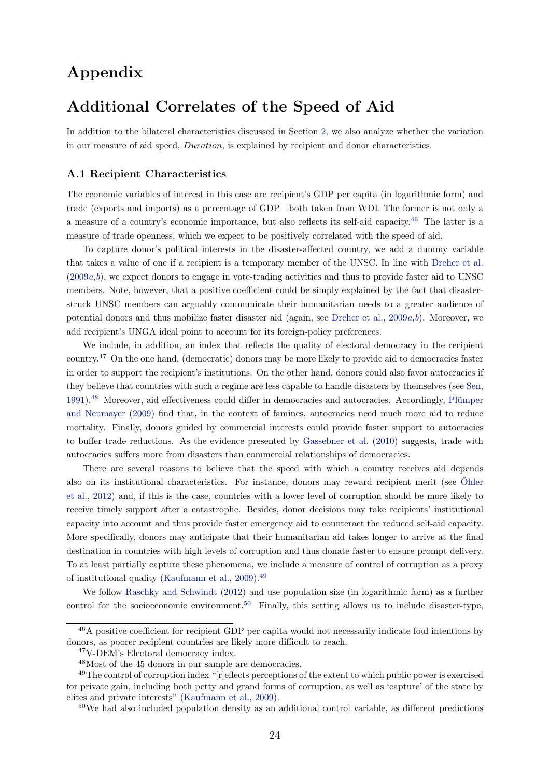## Appendix

## Additional Correlates of the Speed of Aid

In addition to the bilateral characteristics discussed in Section [2,](#page-3-0) we also analyze whether the variation in our measure of aid speed, Duration, is explained by recipient and donor characteristics.

#### A.1 Recipient Characteristics

The economic variables of interest in this case are recipient's GDP per capita (in logarithmic form) and trade (exports and imports) as a percentage of GDP—both taken from WDI. The former is not only a a measure of a country's economic importance, but also reflects its self-aid capacity.[46](#page-24-0) The latter is a measure of trade openness, which we expect to be positively correlated with the speed of aid.

To capture donor's political interests in the disaster-affected country, we add a dummy variable that takes a value of one if a recipient is a temporary member of the UNSC. In line with [Dreher et al.](#page-20-8)  $(2009a,b)$  $(2009a,b)$  $(2009a,b)$  $(2009a,b)$ , we expect donors to engage in vote-trading activities and thus to provide faster aid to UNSC members. Note, however, that a positive coefficient could be simply explained by the fact that disasterstruck UNSC members can arguably communicate their humanitarian needs to a greater audience of potential donors and thus mobilize faster disaster aid (again, see [Dreher et al.,](#page-20-8)  $2009a,b$  $2009a,b$  $2009a,b$ ). Moreover, we add recipient's UNGA ideal point to account for its foreign-policy preferences.

We include, in addition, an index that reflects the quality of electoral democracy in the recipient country.[47](#page-24-1) On the one hand, (democratic) donors may be more likely to provide aid to democracies faster in order to support the recipient's institutions. On the other hand, donors could also favor autocracies if they believe that countries with such a regime are less capable to handle disasters by themselves (see [Sen,](#page-23-11) [1991\)](#page-23-11).<sup>[48](#page-24-2)</sup> Moreover, aid effectiveness could differ in democracies and autocracies. Accordingly, Plümper [and Neumayer](#page-23-12) [\(2009\)](#page-23-12) find that, in the context of famines, autocracies need much more aid to reduce mortality. Finally, donors guided by commercial interests could provide faster support to autocracies to buffer trade reductions. As the evidence presented by [Gassebner et al.](#page-21-9) [\(2010\)](#page-21-9) suggests, trade with autocracies suffers more from disasters than commercial relationships of democracies.

There are several reasons to believe that the speed with which a country receives aid depends also on its institutional characteristics. For instance, donors may reward recipient merit (see [Ohler](#page-23-13) [et al.,](#page-23-13) [2012\)](#page-23-13) and, if this is the case, countries with a lower level of corruption should be more likely to receive timely support after a catastrophe. Besides, donor decisions may take recipients' institutional capacity into account and thus provide faster emergency aid to counteract the reduced self-aid capacity. More specifically, donors may anticipate that their humanitarian aid takes longer to arrive at the final destination in countries with high levels of corruption and thus donate faster to ensure prompt delivery. To at least partially capture these phenomena, we include a measure of control of corruption as a proxy of institutional quality [\(Kaufmann et al.,](#page-22-18) [2009\)](#page-22-18).[49](#page-24-3)

We follow [Raschky and Schwindt](#page-23-1) [\(2012\)](#page-23-1) and use population size (in logarithmic form) as a further control for the socioeconomic environment.<sup>[50](#page-24-4)</sup> Finally, this setting allows us to include disaster-type,

<span id="page-24-0"></span><sup>46</sup>A positive coefficient for recipient GDP per capita would not necessarily indicate foul intentions by donors, as poorer recipient countries are likely more difficult to reach.

<span id="page-24-1"></span><sup>47</sup>V-DEM's Electoral democracy index.

<span id="page-24-3"></span><span id="page-24-2"></span><sup>48</sup>Most of the 45 donors in our sample are democracies.

<sup>&</sup>lt;sup>49</sup>The control of corruption index "[r]eflects perceptions of the extent to which public power is exercised for private gain, including both petty and grand forms of corruption, as well as 'capture' of the state by elites and private interests" [\(Kaufmann et al.,](#page-22-18) [2009\)](#page-22-18).

<span id="page-24-4"></span><sup>50</sup>We had also included population density as an additional control variable, as different predictions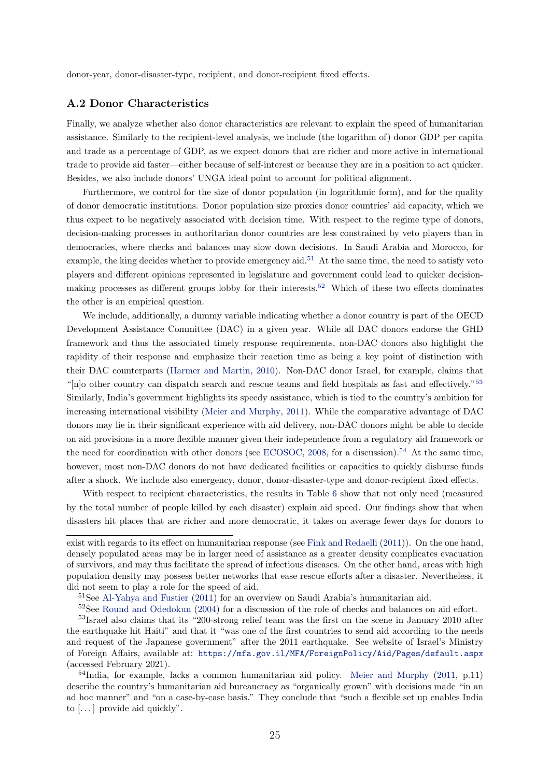donor-year, donor-disaster-type, recipient, and donor-recipient fixed effects.

#### A.2 Donor Characteristics

Finally, we analyze whether also donor characteristics are relevant to explain the speed of humanitarian assistance. Similarly to the recipient-level analysis, we include (the logarithm of) donor GDP per capita and trade as a percentage of GDP, as we expect donors that are richer and more active in international trade to provide aid faster—either because of self-interest or because they are in a position to act quicker. Besides, we also include donors' UNGA ideal point to account for political alignment.

Furthermore, we control for the size of donor population (in logarithmic form), and for the quality of donor democratic institutions. Donor population size proxies donor countries' aid capacity, which we thus expect to be negatively associated with decision time. With respect to the regime type of donors, decision-making processes in authoritarian donor countries are less constrained by veto players than in democracies, where checks and balances may slow down decisions. In Saudi Arabia and Morocco, for example, the king decides whether to provide emergency aid.<sup>[51](#page-25-0)</sup> At the same time, the need to satisfy veto players and different opinions represented in legislature and government could lead to quicker decisionmaking processes as different groups lobby for their interests.[52](#page-25-1) Which of these two effects dominates the other is an empirical question.

We include, additionally, a dummy variable indicating whether a donor country is part of the OECD Development Assistance Committee (DAC) in a given year. While all DAC donors endorse the GHD framework and thus the associated timely response requirements, non-DAC donors also highlight the rapidity of their response and emphasize their reaction time as being a key point of distinction with their DAC counterparts [\(Harmer and Martin,](#page-21-19) [2010\)](#page-21-19). Non-DAC donor Israel, for example, claims that "[n]o other country can dispatch search and rescue teams and field hospitals as fast and effectively."[53](#page-25-2) Similarly, India's government highlights its speedy assistance, which is tied to the country's ambition for increasing international visibility [\(Meier and Murphy,](#page-22-19) [2011\)](#page-22-19). While the comparative advantage of DAC donors may lie in their significant experience with aid delivery, non-DAC donors might be able to decide on aid provisions in a more flexible manner given their independence from a regulatory aid framework or the need for coordination with other donors (see [ECOSOC,](#page-21-20) [2008,](#page-21-20) for a discussion).<sup>[54](#page-25-3)</sup> At the same time, however, most non-DAC donors do not have dedicated facilities or capacities to quickly disburse funds after a shock. We include also emergency, donor, donor-disaster-type and donor-recipient fixed effects.

With respect to recipient characteristics, the results in Table [6](#page-26-0) show that not only need (measured by the total number of people killed by each disaster) explain aid speed. Our findings show that when disasters hit places that are richer and more democratic, it takes on average fewer days for donors to

exist with regards to its effect on humanitarian response (see [Fink and Redaelli](#page-21-3) [\(2011\)](#page-21-3)). On the one hand, densely populated areas may be in larger need of assistance as a greater density complicates evacuation of survivors, and may thus facilitate the spread of infectious diseases. On the other hand, areas with high population density may possess better networks that ease rescue efforts after a disaster. Nevertheless, it did not seem to play a role for the speed of aid.

<span id="page-25-1"></span><span id="page-25-0"></span><sup>&</sup>lt;sup>51</sup>See [Al-Yahya and Fustier](#page-20-19) [\(2011\)](#page-20-19) for an overview on Saudi Arabia's humanitarian aid.

<span id="page-25-2"></span> $52$ See [Round and Odedokun](#page-23-2) [\(2004\)](#page-23-2) for a discussion of the role of checks and balances on aid effort.

<sup>&</sup>lt;sup>53</sup>Israel also claims that its "200-strong relief team was the first on the scene in January 2010 after the earthquake hit Haiti" and that it "was one of the first countries to send aid according to the needs and request of the Japanese government" after the 2011 earthquake. See website of Israel's Ministry of Foreign Affairs, available at: <https://mfa.gov.il/MFA/ForeignPolicy/Aid/Pages/default.aspx> (accessed February 2021).

<span id="page-25-3"></span><sup>54</sup>India, for example, lacks a common humanitarian aid policy. [Meier and Murphy](#page-22-19) [\(2011,](#page-22-19) p.11) describe the country's humanitarian aid bureaucracy as "organically grown" with decisions made "in an ad hoc manner" and "on a case-by-case basis." They conclude that "such a flexible set up enables India to  $[\dots]$  provide aid quickly".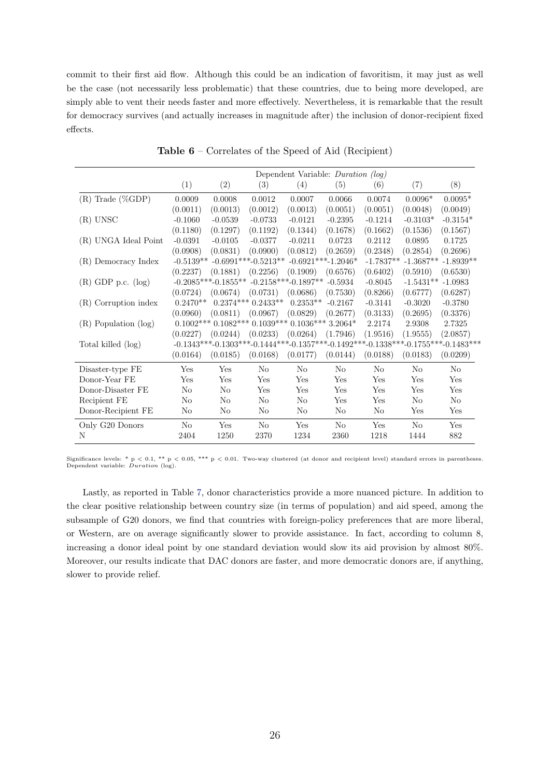commit to their first aid flow. Although this could be an indication of favoritism, it may just as well be the case (not necessarily less problematic) that these countries, due to being more developed, are simply able to vent their needs faster and more effectively. Nevertheless, it is remarkable that the result for democracy survives (and actually increases in magnitude after) the inclusion of donor-recipient fixed effects.

<span id="page-26-0"></span>

|                           | Dependent Variable: Duration (log) |                        |                                                              |                       |                |                |             |                                                                                                         |
|---------------------------|------------------------------------|------------------------|--------------------------------------------------------------|-----------------------|----------------|----------------|-------------|---------------------------------------------------------------------------------------------------------|
|                           | (1)                                | (2)                    | (3)                                                          | (4)                   | (5)            | (6)            | (7)         | (8)                                                                                                     |
| $(R)$ Trade (%GDP)        | 0.0009                             | 0.0008                 | 0.0012                                                       | 0.0007                | 0.0066         | 0.0074         | $0.0096*$   | $0.0095*$                                                                                               |
|                           | (0.0011)                           | (0.0013)               | (0.0012)                                                     | (0.0013)              | (0.0051)       | (0.0051)       | (0.0048)    | (0.0049)                                                                                                |
| $(R)$ UNSC                | $-0.1060$                          | $-0.0539$              | $-0.0733$                                                    | $-0.0121$             | $-0.2395$      | $-0.1214$      | $-0.3103*$  | $-0.3154*$                                                                                              |
|                           | (0.1180)                           | (0.1297)               | (0.1192)                                                     | (0.1344)              | (0.1678)       | (0.1662)       | (0.1536)    | (0.1567)                                                                                                |
| (R) UNGA Ideal Point      | $-0.0391$                          | $-0.0105$              | $-0.0377$                                                    | $-0.0211$             | 0.0723         | 0.2112         | 0.0895      | 0.1725                                                                                                  |
|                           | (0.0908)                           | (0.0831)               | (0.0900)                                                     | (0.0812)              | (0.2659)       | (0.2348)       | (0.2854)    | (0.2696)                                                                                                |
| (R) Democracy Index       |                                    |                        | $-0.5139**$ $-0.6991***$ $-0.5213**$ $-0.6921***$ $-1.2046*$ |                       |                | $-1.7837**$    | $-1.3687**$ | $-1.8939**$                                                                                             |
|                           | (0.2237)                           | (0.1881)               | (0.2256)                                                     | (0.1909)              | (0.6576)       | (0.6402)       | (0.5910)    | (0.6530)                                                                                                |
| $(R)$ GDP p.c. $(log)$    |                                    | $-0.2085***-0.1855***$ |                                                              | $-0.2158***-0.1897**$ | $-0.5934$      | $-0.8045$      | $-1.5431**$ | $-1.0983$                                                                                               |
|                           | (0.0724)                           | (0.0674)               | (0.0731)                                                     | (0.0686)              | (0.7530)       | (0.8266)       | (0.6777)    | (0.6287)                                                                                                |
| (R) Corruption index      | $0.2470**$                         |                        | $0.2374***0.2433**$                                          | $0.2353**$            | $-0.2167$      | $-0.3141$      | $-0.3020$   | $-0.3780$                                                                                               |
|                           | (0.0960)                           | (0.0811)               | (0.0967)                                                     | (0.0829)              | (0.2677)       | (0.3133)       | (0.2695)    | (0.3376)                                                                                                |
| $(R)$ Population $(\log)$ |                                    |                        | $0.1002***0.1082***0.1039***0.1036***3.2064*$                |                       |                | 2.2174         | 2.9308      | 2.7325                                                                                                  |
|                           | (0.0227)                           | (0.0244)               | (0.0233)                                                     | (0.0264)              | (1.7946)       | (1.9516)       | (1.9555)    | (2.0857)                                                                                                |
| Total killed (log)        |                                    |                        |                                                              |                       |                |                |             | $-0.1343***$ $-0.1303***$ $-0.1444***$ $-0.1357***$ $-0.1492***$ $-0.1338***$ $-0.1755***$ $-0.1483***$ |
|                           | (0.0164)                           | (0.0185)               | (0.0168)                                                     | (0.0177)              | (0.0144)       | (0.0188)       | (0.0183)    | (0.0209)                                                                                                |
| Disaster-type FE          | Yes                                | Yes                    | No                                                           | No                    | No             | No             | $\rm No$    | $\rm No$                                                                                                |
| Donor-Year FE             | Yes                                | Yes                    | Yes                                                          | Yes                   | Yes            | Yes            | Yes         | Yes                                                                                                     |
| Donor-Disaster FE         | No                                 | N <sub>o</sub>         | Yes                                                          | Yes                   | Yes            | Yes            | Yes         | Yes                                                                                                     |
| Recipient FE              | No                                 | N <sub>0</sub>         | No                                                           | No                    | Yes            | Yes            | No          | N <sub>o</sub>                                                                                          |
| Donor-Recipient FE        | No                                 | No.                    | No                                                           | No                    | No             | N <sub>0</sub> | Yes         | Yes                                                                                                     |
| Only G20 Donors           | N <sub>o</sub>                     | Yes                    | No                                                           | Yes                   | N <sub>o</sub> | Yes            | $\rm No$    | Yes                                                                                                     |
| N                         | 2404                               | 1250                   | 2370                                                         | 1234                  | 2360           | 1218           | 1444        | 882                                                                                                     |

Table 6 – Correlates of the Speed of Aid (Recipient)

Significance levels: \* p < 0.1, \*\* p < 0.05, \*\*\* p < 0.01. Two-way clustered (at donor and recipient level) standard errors in parentheses.<br>Dependent variable: *Duration* (log).

Lastly, as reported in Table [7,](#page-27-1) donor characteristics provide a more nuanced picture. In addition to the clear positive relationship between country size (in terms of population) and aid speed, among the subsample of G20 donors, we find that countries with foreign-policy preferences that are more liberal, or Western, are on average significantly slower to provide assistance. In fact, according to column 8, increasing a donor ideal point by one standard deviation would slow its aid provision by almost 80%. Moreover, our results indicate that DAC donors are faster, and more democratic donors are, if anything, slower to provide relief.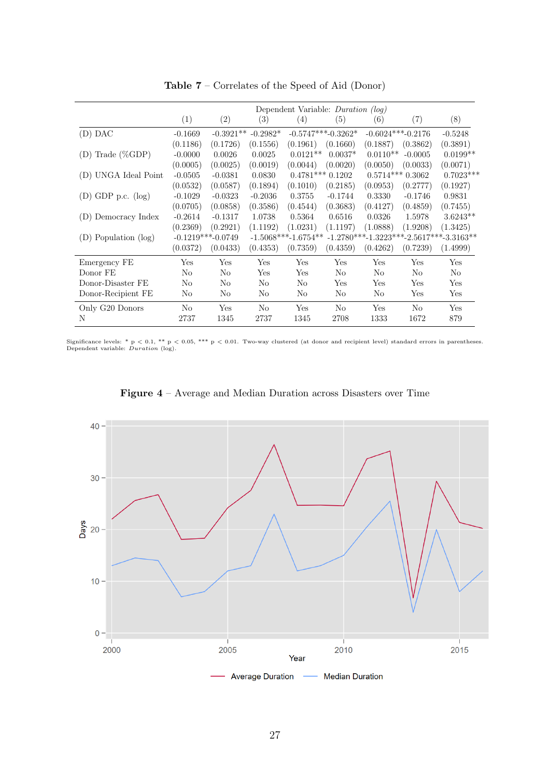<span id="page-27-1"></span>

|                        | Dependent Variable: <i>Duration</i> (log) |                     |                   |                       |                      |            |                     |                                           |
|------------------------|-------------------------------------------|---------------------|-------------------|-----------------------|----------------------|------------|---------------------|-------------------------------------------|
|                        | (1)                                       | (2)                 | $\left( 3\right)$ | (4)                   | (5)                  | (6)        | (7)                 | (8)                                       |
| $(D)$ DAC              | $-0.1669$                                 | $-0.3921**$         | $-0.2982*$        |                       | $-0.5747***-0.3262*$ |            | $-0.6024***-0.2176$ | $-0.5248$                                 |
|                        | (0.1186)                                  | (0.1726)            | (0.1556)          | (0.1961)              | (0.1660)             | (0.1887)   | (0.3862)            | (0.3891)                                  |
| $(D)$ Trade $(\%GDP)$  | $-0.0000$                                 | 0.0026              | 0.0025            | $0.0121**$            | $0.0037*$            | $0.0110**$ | $-0.0005$           | $0.0199**$                                |
|                        | (0.0005)                                  | (0.0025)            | (0.0019)          | (0.0044)              | (0.0020)             | (0.0050)   | (0.0033)            | (0.0071)                                  |
| (D) UNGA Ideal Point   | $-0.0505$                                 | $-0.0381$           | 0.0830            |                       | $0.4781***0.1202$    |            | $0.5714***0.3062$   | $0.7023***$                               |
|                        | (0.0532)                                  | (0.0587)            | (0.1894)          | (0.1010)              | (0.2185)             | (0.0953)   | (0.2777)            | (0.1927)                                  |
| $(D)$ GDP p.c. $(log)$ | $-0.1029$                                 | $-0.0323$           | $-0.2036$         | 0.3755                | $-0.1744$            | 0.3330     | $-0.1746$           | 0.9831                                    |
|                        | (0.0705)                                  | (0.0858)            | (0.3586)          | (0.4544)              | (0.3683)             | (0.4127)   | (0.4859)            | (0.7455)                                  |
| (D) Democracy Index    | $-0.2614$                                 | $-0.1317$           | 1.0738            | 0.5364                | 0.6516               | 0.0326     | 1.5978              | $3.6243**$                                |
|                        | (0.2369)                                  | (0.2921)            | (1.1192)          | (1.0231)              | (1.1197)             | (1.0888)   | (1.9208)            | (1.3425)                                  |
| (D) Population (log)   |                                           | $-0.1219***-0.0749$ |                   | $-1.5068***-1.6754**$ |                      |            |                     | $-1.2780***-1.3223***-2.5617***-3.3163**$ |
|                        | (0.0372)                                  | (0.0433)            | (0.4353)          | (0.7359)              | (0.4359)             | (0.4262)   | (0.7239)            | (1.4999)                                  |
| Emergency FE           | Yes                                       | Yes                 | Yes               | Yes                   | Yes                  | Yes        | Yes                 | Yes                                       |
| Donor FE               | No                                        | No                  | Yes               | Yes                   | No                   | No         | N <sub>o</sub>      | N <sub>o</sub>                            |
| Donor-Disaster FE      | No                                        | No                  | No                | No                    | Yes                  | Yes        | Yes                 | Yes                                       |
| Donor-Recipient FE     | N <sub>0</sub>                            | No                  | No                | No                    | No                   | No         | Yes                 | Yes                                       |
| Only G20 Donors        | N <sub>o</sub>                            | Yes                 | No                | Yes                   | No                   | Yes        | N <sub>o</sub>      | Yes                                       |
| N                      | 2737                                      | 1345                | 2737              | 1345                  | 2708                 | 1333       | 1672                | 879                                       |

Table 7 – Correlates of the Speed of Aid (Donor)

Significance levels: \* p < 0.1, \*\* p < 0.05, \*\*\* p < 0.01. Two-way clustered (at donor and recipient level) standard errors in parentheses.<br>Dependent variable: *Duration* (log).

<span id="page-27-0"></span>

Figure 4 – Average and Median Duration across Disasters over Time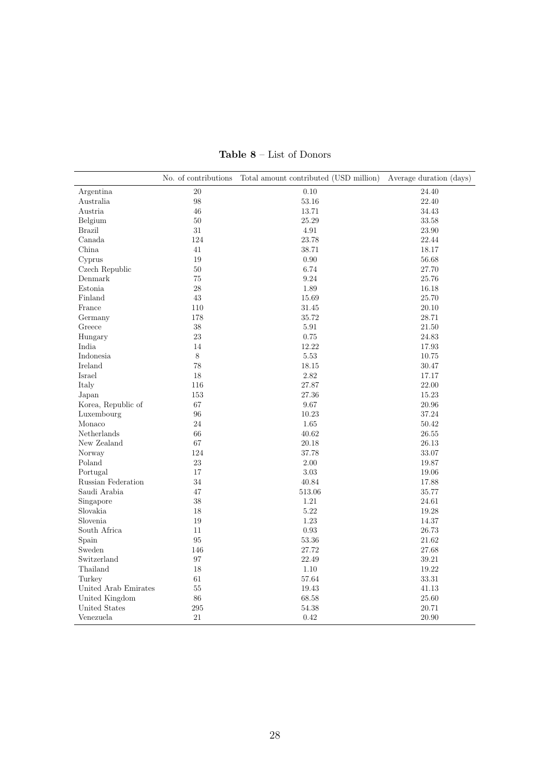<span id="page-28-0"></span>

|                      | No. of contributions | Total amount contributed (USD million) | Average duration (days) |
|----------------------|----------------------|----------------------------------------|-------------------------|
| Argentina            | 20                   | 0.10                                   | 24.40                   |
| Australia            | 98                   | 53.16                                  | 22.40                   |
| Austria              | 46                   | 13.71                                  | 34.43                   |
| Belgium              | 50                   | 25.29                                  | 33.58                   |
| <b>Brazil</b>        | 31                   | 4.91                                   | 23.90                   |
| Canada               | 124                  | 23.78                                  | 22.44                   |
| China                | 41                   | 38.71                                  | 18.17                   |
| Cyprus               | 19                   | 0.90                                   | 56.68                   |
| Czech Republic       | 50                   | 6.74                                   | 27.70                   |
| Denmark              | 75                   | 9.24                                   | 25.76                   |
| Estonia              | 28                   | 1.89                                   | 16.18                   |
| Finland              | 43                   | 15.69                                  | 25.70                   |
| France               | 110                  | 31.45                                  | 20.10                   |
| Germany              | 178                  | 35.72                                  | 28.71                   |
| Greece               | 38                   | 5.91                                   | 21.50                   |
| Hungary              | 23                   | 0.75                                   | 24.83                   |
| India                | 14                   | 12.22                                  | 17.93                   |
| Indonesia            | 8                    | 5.53                                   | 10.75                   |
| Ireland              | 78                   | 18.15                                  | 30.47                   |
| Israel               | 18                   | 2.82                                   | 17.17                   |
| Italy                | 116                  | 27.87                                  | 22.00                   |
| Japan                | 153                  | 27.36                                  | 15.23                   |
| Korea, Republic of   | 67                   | 9.67                                   | 20.96                   |
| Luxembourg           | 96                   | 10.23                                  | 37.24                   |
| Monaco               | 24                   | 1.65                                   | 50.42                   |
| Netherlands          | 66                   | 40.62                                  | 26.55                   |
| New Zealand          | 67                   | 20.18                                  | 26.13                   |
| Norway               | 124                  | 37.78                                  | 33.07                   |
| Poland               | 23                   | 2.00                                   | 19.87                   |
| Portugal             | 17                   | 3.03                                   | 19.06                   |
| Russian Federation   | 34                   | 40.84                                  | 17.88                   |
| Saudi Arabia         | 47                   | 513.06                                 | 35.77                   |
| Singapore            | 38                   | 1.21                                   | 24.61                   |
| Slovakia             | 18                   | 5.22                                   | 19.28                   |
| Slovenia             | 19                   | 1.23                                   | 14.37                   |
| South Africa         | 11                   | 0.93                                   | 26.73                   |
| Spain                | 95                   | 53.36                                  | 21.62                   |
| Sweden               | 146                  | 27.72                                  | 27.68                   |
| Switzerland          | 97                   | 22.49                                  | 39.21                   |
| Thailand             | 18                   | 1.10                                   | 19.22                   |
|                      | 61                   | 57.64                                  | 33.31                   |
| Turkey               | 55                   |                                        |                         |
| United Arab Emirates |                      | 19.43                                  | 41.13                   |
| United Kingdom       | 86                   | 68.58                                  | 25.60                   |
| United States        | 295                  | 54.38                                  | 20.71                   |
| Venezuela            | 21                   | 0.42                                   | 20.90                   |

**Table 8** – List of Donors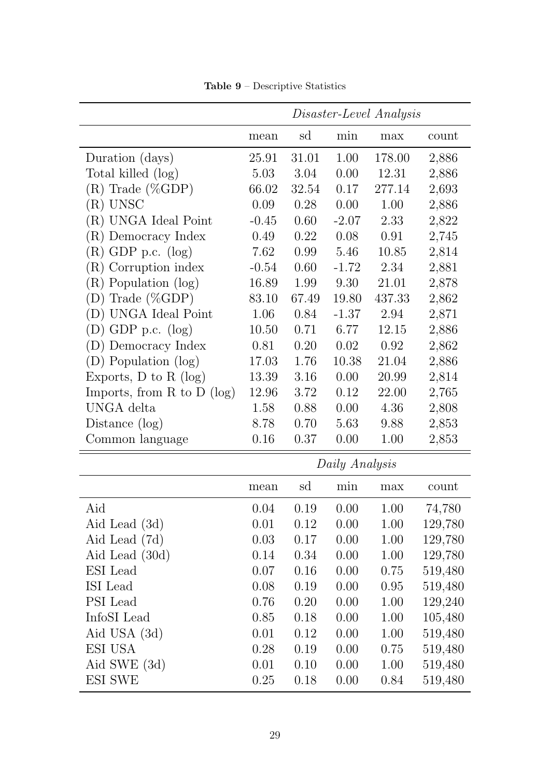<span id="page-29-0"></span>

|                                |         |       |                | Disaster-Level Analysis |         |
|--------------------------------|---------|-------|----------------|-------------------------|---------|
|                                | mean    | sd    | min            | max                     | count   |
| Duration (days)                | 25.91   | 31.01 | 1.00           | 178.00                  | 2,886   |
| Total killed (log)             | 5.03    | 3.04  | 0.00           | 12.31                   | 2,886   |
| $(R)$ Trade (%GDP)             | 66.02   | 32.54 | 0.17           | 277.14                  | 2,693   |
| (R) UNSC                       | 0.09    | 0.28  | 0.00           | 1.00                    | 2,886   |
| (R) UNGA Ideal Point           | $-0.45$ | 0.60  | $-2.07$        | 2.33                    | 2,822   |
| (R) Democracy Index            | 0.49    | 0.22  | 0.08           | 0.91                    | 2,745   |
| $(R)$ GDP p.c. $(log)$         | 7.62    | 0.99  | 5.46           | 10.85                   | 2,814   |
| (R) Corruption index           | $-0.54$ | 0.60  | $-1.72$        | 2.34                    | 2,881   |
| Population (log)<br>(R)        | 16.89   | 1.99  | 9.30           | 21.01                   | 2,878   |
| Trade $(\%GDP)$<br>(D)         | 83.10   | 67.49 | 19.80          | 437.33                  | 2,862   |
| (D) UNGA Ideal Point           | 1.06    | 0.84  | $-1.37$        | 2.94                    | 2,871   |
| $(D)$ GDP p.c. $(log)$         | 10.50   | 0.71  | 6.77           | 12.15                   | 2,886   |
| (D) Democracy Index            | 0.81    | 0.20  | 0.02           | 0.92                    | 2,862   |
| (D) Population (log)           | 17.03   | 1.76  | 10.38          | 21.04                   | 2,886   |
| Exports, $D$ to $R$ (log)      | 13.39   | 3.16  | 0.00           | 20.99                   | 2,814   |
| Imports, from $R$ to $D$ (log) | 12.96   | 3.72  | 0.12           | 22.00                   | 2,765   |
| UNGA delta                     | 1.58    | 0.88  | 0.00           | 4.36                    | 2,808   |
| Distance $(\log)$              | 8.78    | 0.70  | 5.63           | 9.88                    | 2,853   |
| Common language                | 0.16    | 0.37  | 0.00           | 1.00                    | 2,853   |
|                                |         |       | Daily Analysis |                         |         |
|                                | mean    | sd    | min            | max                     | count   |
| Aid                            | 0.04    | 0.19  | 0.00           | 1.00                    | 74,780  |
| Aid Lead (3d)                  | 0.01    | 0.12  | 0.00           | 1.00                    | 129,780 |
| Aid Lead (7d)                  | 0.03    | 0.17  | 0.00           | 1.00                    | 129,780 |
| Aid Lead (30d)                 | 0.14    | 0.34  | 0.00           | 1.00                    | 129,780 |
| ESI Lead                       | 0.07    | 0.16  | 0.00           | 0.75                    | 519,480 |
| ISI Lead                       | 0.08    | 0.19  | 0.00           | 0.95                    | 519,480 |
| PSI Lead                       | 0.76    | 0.20  | 0.00           | 1.00                    | 129,240 |
| InfoSI Lead                    | 0.85    | 0.18  | 0.00           | 1.00                    | 105,480 |
| Aid USA (3d)                   | 0.01    | 0.12  | 0.00           | 1.00                    | 519,480 |
| ESI USA                        | 0.28    | 0.19  | 0.00           | 0.75                    | 519,480 |
| Aid SWE (3d)                   | 0.01    | 0.10  | 0.00           | 1.00                    | 519,480 |
| ESI SWE                        | 0.25    | 0.18  | 0.00           | 0.84                    | 519,480 |

Table 9 – Descriptive Statistics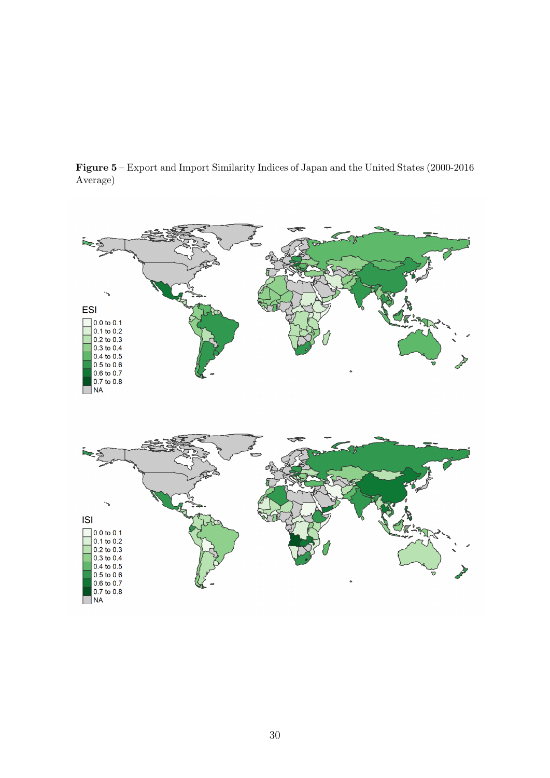<span id="page-30-0"></span>Figure 5 – Export and Import Similarity Indices of Japan and the United States (2000-2016 Average)